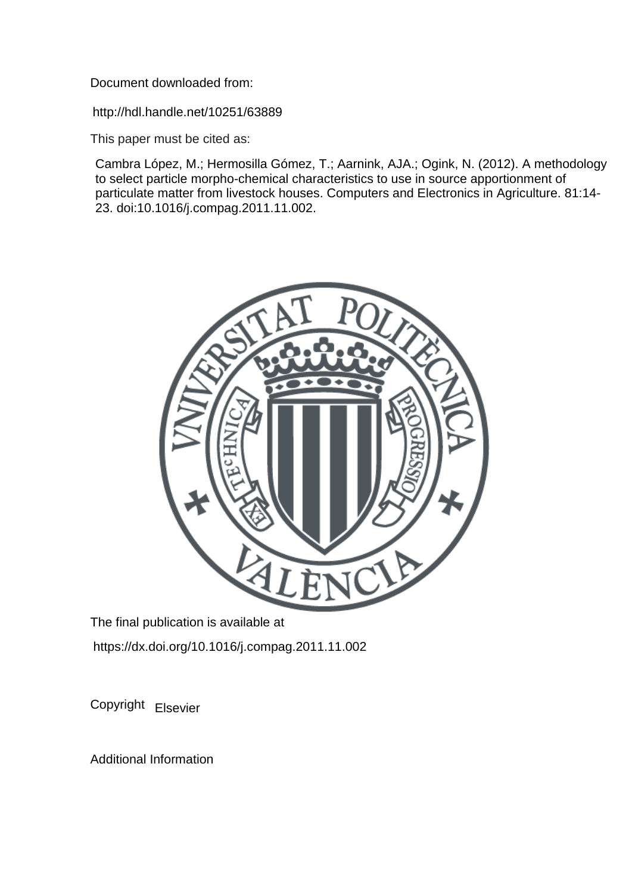Document downloaded from:

http://hdl.handle.net/10251/63889

This paper must be cited as:

Cambra López, M.; Hermosilla Gómez, T.; Aarnink, AJA.; Ogink, N. (2012). A methodology to select particle morpho-chemical characteristics to use in source apportionment of particulate matter from livestock houses. Computers and Electronics in Agriculture. 81:14- 23. doi:10.1016/j.compag.2011.11.002.



The final publication is available at https://dx.doi.org/10.1016/j.compag.2011.11.002

Copyright Elsevier

Additional Information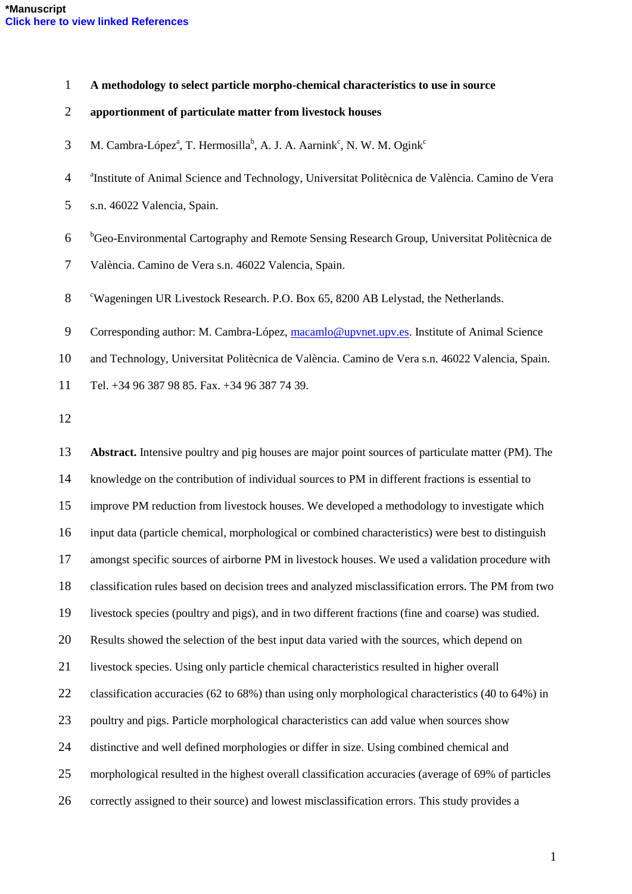### **A methodology to select particle morpho-chemical characteristics to use in source**

## **apportionment of particulate matter from livestock houses**

- M. Cambra-López<sup>a</sup>, T. Hermosilla<sup>b</sup>, A. J. A. Aarnink<sup>c</sup>, N. W. M. Ogink<sup>c</sup>
- <sup>a</sup> Institute of Animal Science and Technology, Universitat Politècnica de València. Camino de Vera
- s.n. 46022 Valencia, Spain.
- <sup>6</sup> Geo-Environmental Cartography and Remote Sensing Research Group, Universitat Politècnica de
- València. Camino de Vera s.n. 46022 Valencia, Spain.
- <sup>c</sup>Wageningen UR Livestock Research. P.O. Box 65, 8200 AB Lelystad, the Netherlands.
- Corresponding author: M. Cambra-López, [macamlo@upvnet.upv.es.](mailto:macamlo@upvnet.upv.es) Institute of Animal Science
- and Technology, Universitat Politècnica de València. Camino de Vera s.n. 46022 Valencia, Spain.
- Tel. +34 96 387 98 85. Fax. +34 96 387 74 39.

 **Abstract.** Intensive poultry and pig houses are major point sources of particulate matter (PM). The knowledge on the contribution of individual sources to PM in different fractions is essential to improve PM reduction from livestock houses. We developed a methodology to investigate which input data (particle chemical, morphological or combined characteristics) were best to distinguish amongst specific sources of airborne PM in livestock houses. We used a validation procedure with classification rules based on decision trees and analyzed misclassification errors. The PM from two livestock species (poultry and pigs), and in two different fractions (fine and coarse) was studied. Results showed the selection of the best input data varied with the sources, which depend on livestock species. Using only particle chemical characteristics resulted in higher overall classification accuracies (62 to 68%) than using only morphological characteristics (40 to 64%) in 23 poultry and pigs. Particle morphological characteristics can add value when sources show distinctive and well defined morphologies or differ in size. Using combined chemical and morphological resulted in the highest overall classification accuracies (average of 69% of particles correctly assigned to their source) and lowest misclassification errors. This study provides a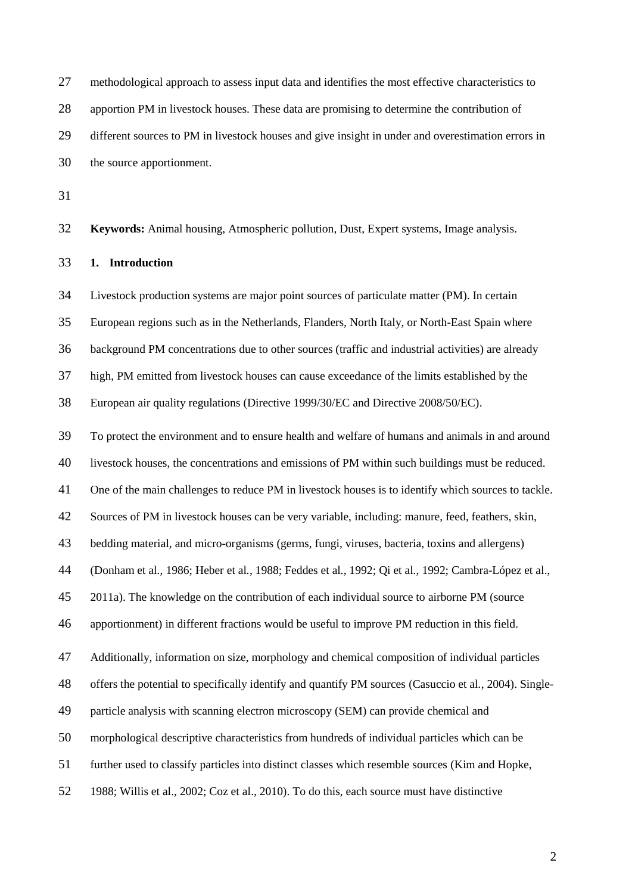methodological approach to assess input data and identifies the most effective characteristics to apportion PM in livestock houses. These data are promising to determine the contribution of different sources to PM in livestock houses and give insight in under and overestimation errors in the source apportionment.

**Keywords:** Animal housing, Atmospheric pollution, Dust, Expert systems, Image analysis.

## **1. Introduction**

Livestock production systems are major point sources of particulate matter (PM). In certain

European regions such as in the Netherlands, Flanders, North Italy, or North-East Spain where

background PM concentrations due to other sources (traffic and industrial activities) are already

high, PM emitted from livestock houses can cause exceedance of the limits established by the

European air quality regulations (Directive 1999/30/EC and Directive 2008/50/EC).

To protect the environment and to ensure health and welfare of humans and animals in and around

livestock houses, the concentrations and emissions of PM within such buildings must be reduced.

One of the main challenges to reduce PM in livestock houses is to identify which sources to tackle.

Sources of PM in livestock houses can be very variable, including: manure, feed, feathers, skin,

bedding material, and micro-organisms (germs, fungi, viruses, bacteria, toxins and allergens)

(Donham et al*.*, 1986; Heber et al*.*, 1988; Feddes et al*.*, 1992; Qi et al*.*, 1992; Cambra-López et al.,

2011a). The knowledge on the contribution of each individual source to airborne PM (source

apportionment) in different fractions would be useful to improve PM reduction in this field.

Additionally, information on size, morphology and chemical composition of individual particles

offers the potential to specifically identify and quantify PM sources (Casuccio et al*.*, 2004). Single-

particle analysis with scanning electron microscopy (SEM) can provide chemical and

morphological descriptive characteristics from hundreds of individual particles which can be

further used to classify particles into distinct classes which resemble sources (Kim and Hopke,

1988; Willis et al., 2002; Coz et al., 2010). To do this, each source must have distinctive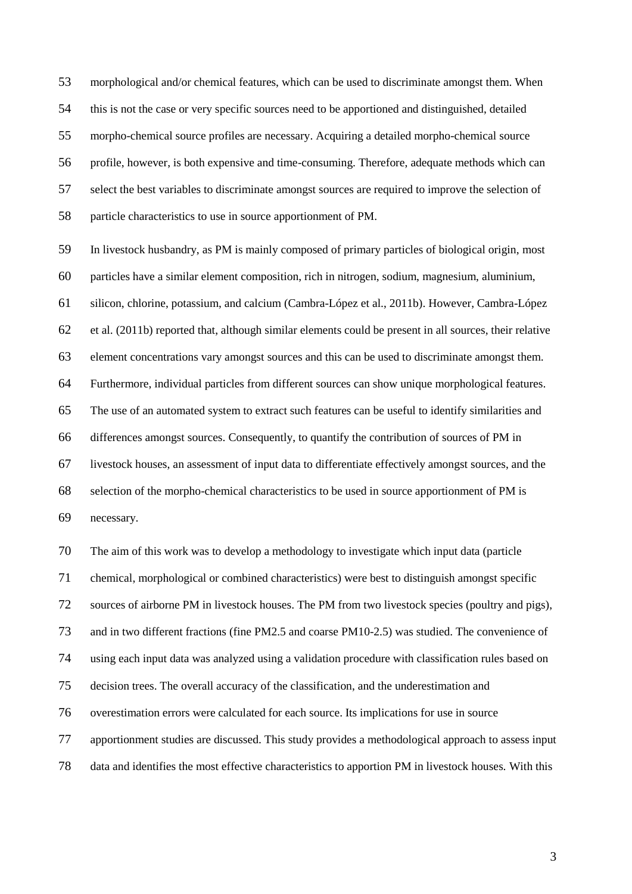morphological and/or chemical features, which can be used to discriminate amongst them. When this is not the case or very specific sources need to be apportioned and distinguished, detailed morpho-chemical source profiles are necessary. Acquiring a detailed morpho-chemical source profile, however, is both expensive and time-consuming. Therefore, adequate methods which can select the best variables to discriminate amongst sources are required to improve the selection of particle characteristics to use in source apportionment of PM.

 In livestock husbandry, as PM is mainly composed of primary particles of biological origin, most particles have a similar element composition, rich in nitrogen, sodium, magnesium, aluminium, silicon, chlorine, potassium, and calcium (Cambra-López et al., 2011b). However, Cambra-López et al. (2011b) reported that, although similar elements could be present in all sources, their relative element concentrations vary amongst sources and this can be used to discriminate amongst them. Furthermore, individual particles from different sources can show unique morphological features. The use of an automated system to extract such features can be useful to identify similarities and differences amongst sources. Consequently, to quantify the contribution of sources of PM in livestock houses, an assessment of input data to differentiate effectively amongst sources, and the selection of the morpho-chemical characteristics to be used in source apportionment of PM is necessary.

The aim of this work was to develop a methodology to investigate which input data (particle

chemical, morphological or combined characteristics) were best to distinguish amongst specific

sources of airborne PM in livestock houses. The PM from two livestock species (poultry and pigs),

and in two different fractions (fine PM2.5 and coarse PM10-2.5) was studied. The convenience of

using each input data was analyzed using a validation procedure with classification rules based on

decision trees. The overall accuracy of the classification, and the underestimation and

overestimation errors were calculated for each source. Its implications for use in source

apportionment studies are discussed. This study provides a methodological approach to assess input

data and identifies the most effective characteristics to apportion PM in livestock houses. With this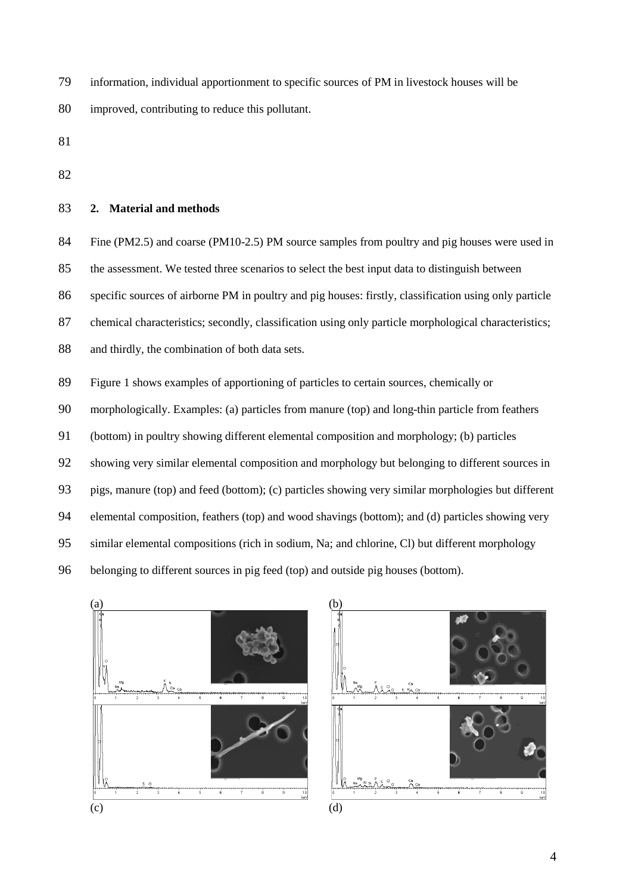information, individual apportionment to specific sources of PM in livestock houses will be

improved, contributing to reduce this pollutant.

# **2. Material and methods**

84 Fine (PM2.5) and coarse (PM10-2.5) PM source samples from poultry and pig houses were used in the assessment. We tested three scenarios to select the best input data to distinguish between specific sources of airborne PM in poultry and pig houses: firstly, classification using only particle chemical characteristics; secondly, classification using only particle morphological characteristics; and thirdly, the combination of both data sets. Figure 1 shows examples of apportioning of particles to certain sources, chemically or

morphologically. Examples: (a) particles from manure (top) and long-thin particle from feathers

(bottom) in poultry showing different elemental composition and morphology; (b) particles

showing very similar elemental composition and morphology but belonging to different sources in

pigs, manure (top) and feed (bottom); (c) particles showing very similar morphologies but different

elemental composition, feathers (top) and wood shavings (bottom); and (d) particles showing very

similar elemental compositions (rich in sodium, Na; and chlorine, Cl) but different morphology

belonging to different sources in pig feed (top) and outside pig houses (bottom).

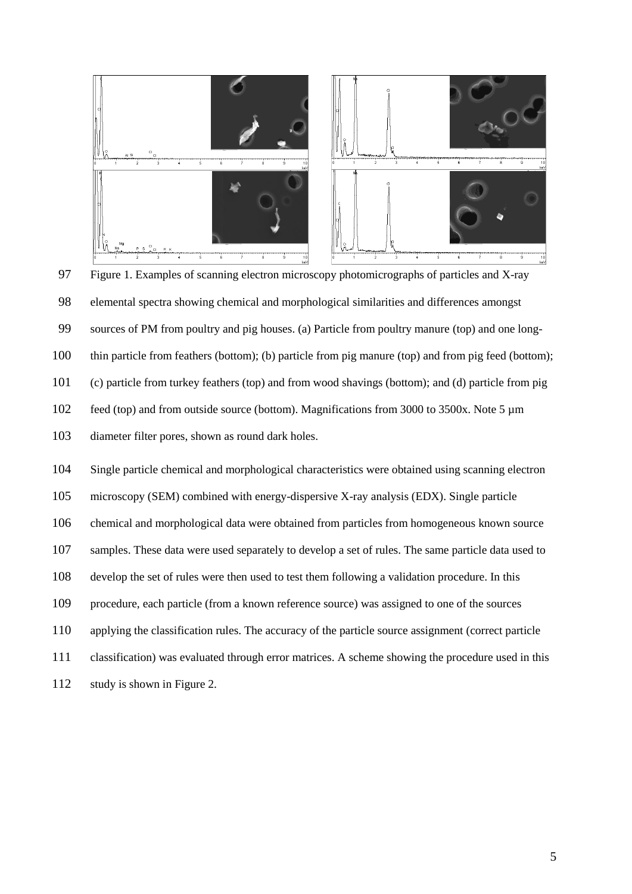

 Figure 1. Examples of scanning electron microscopy photomicrographs of particles and X-ray elemental spectra showing chemical and morphological similarities and differences amongst sources of PM from poultry and pig houses. (a) Particle from poultry manure (top) and one long- thin particle from feathers (bottom); (b) particle from pig manure (top) and from pig feed (bottom); (c) particle from turkey feathers (top) and from wood shavings (bottom); and (d) particle from pig feed (top) and from outside source (bottom). Magnifications from 3000 to 3500x. Note 5 µm diameter filter pores, shown as round dark holes.

 Single particle chemical and morphological characteristics were obtained using scanning electron microscopy (SEM) combined with energy-dispersive X-ray analysis (EDX). Single particle chemical and morphological data were obtained from particles from homogeneous known source samples. These data were used separately to develop a set of rules. The same particle data used to develop the set of rules were then used to test them following a validation procedure. In this procedure, each particle (from a known reference source) was assigned to one of the sources applying the classification rules. The accuracy of the particle source assignment (correct particle classification) was evaluated through error matrices. A scheme showing the procedure used in this study is shown in Figure 2.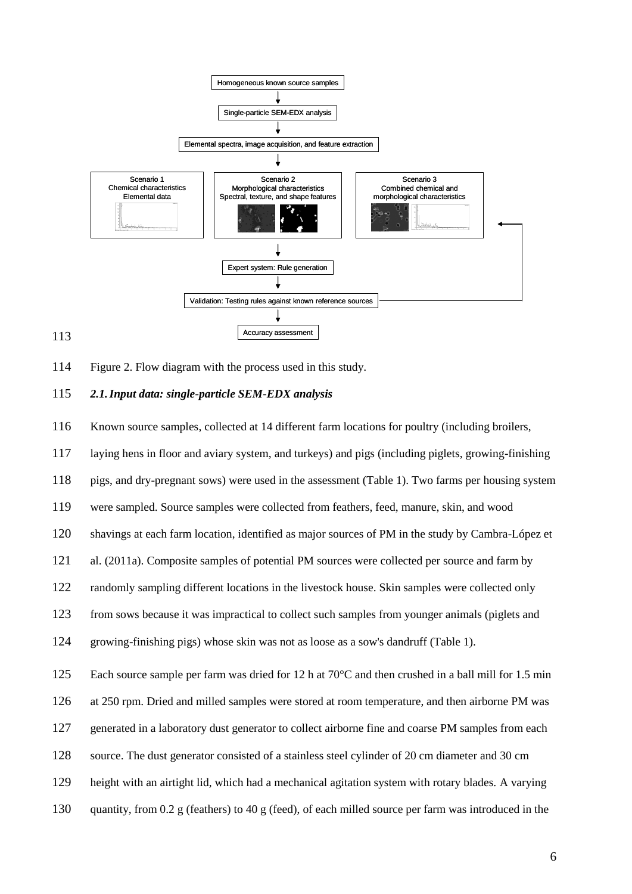

114 Figure 2. Flow diagram with the process used in this study.

### 115 *2.1.Input data: single-particle SEM-EDX analysis*

116 Known source samples, collected at 14 different farm locations for poultry (including broilers,

117 laying hens in floor and aviary system, and turkeys) and pigs (including piglets, growing-finishing

118 pigs, and dry-pregnant sows) were used in the assessment (Table 1). Two farms per housing system

119 were sampled. Source samples were collected from feathers, feed, manure, skin, and wood

120 shavings at each farm location, identified as major sources of PM in the study by Cambra-López et

121 al. (2011a). Composite samples of potential PM sources were collected per source and farm by

122 randomly sampling different locations in the livestock house. Skin samples were collected only

123 from sows because it was impractical to collect such samples from younger animals (piglets and

124 growing-finishing pigs) whose skin was not as loose as a sow's dandruff (Table 1).

125 Each source sample per farm was dried for 12 h at 70°C and then crushed in a ball mill for 1.5 min

126 at 250 rpm. Dried and milled samples were stored at room temperature, and then airborne PM was

127 generated in a laboratory dust generator to collect airborne fine and coarse PM samples from each

- 128 source. The dust generator consisted of a stainless steel cylinder of 20 cm diameter and 30 cm
- 129 height with an airtight lid, which had a mechanical agitation system with rotary blades. A varying
- 130 quantity, from 0.2 g (feathers) to 40 g (feed), of each milled source per farm was introduced in the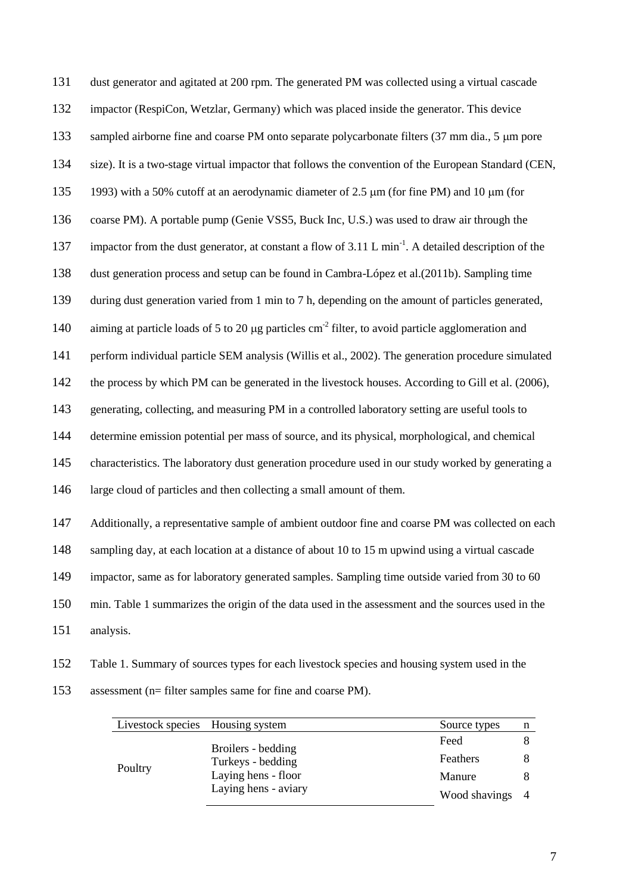dust generator and agitated at 200 rpm. The generated PM was collected using a virtual cascade impactor (RespiCon, Wetzlar, Germany) which was placed inside the generator. This device 133 sampled airborne fine and coarse PM onto separate polycarbonate filters (37 mm dia., 5 µm pore size). It is a two-stage virtual impactor that follows the convention of the European Standard (CEN, 135 1993) with a 50% cutoff at an aerodynamic diameter of 2.5  $\mu$ m (for fine PM) and 10  $\mu$ m (for coarse PM). A portable pump (Genie VSS5, Buck Inc, U.S.) was used to draw air through the 137 impactor from the dust generator, at constant a flow of 3.11 L min<sup>-1</sup>. A detailed description of the dust generation process and setup can be found in Cambra-López et al.(2011b). Sampling time during dust generation varied from 1 min to 7 h, depending on the amount of particles generated, 140 aiming at particle loads of 5 to 20  $\mu$ g particles cm<sup>-2</sup> filter, to avoid particle agglomeration and perform individual particle SEM analysis (Willis et al., 2002). The generation procedure simulated 142 the process by which PM can be generated in the livestock houses. According to Gill et al. (2006), 143 generating, collecting, and measuring PM in a controlled laboratory setting are useful tools to determine emission potential per mass of source, and its physical, morphological, and chemical characteristics. The laboratory dust generation procedure used in our study worked by generating a large cloud of particles and then collecting a small amount of them. Additionally, a representative sample of ambient outdoor fine and coarse PM was collected on each 148 sampling day, at each location at a distance of about 10 to 15 m upwind using a virtual cascade impactor, same as for laboratory generated samples. Sampling time outside varied from 30 to 60 min. [Table 1](#page-7-0) summarizes the origin of the data used in the assessment and the sources used in the analysis.

<span id="page-7-0"></span>152 Table 1. Summary of sources types for each livestock species and housing system used in the 153 assessment (n= filter samples same for fine and coarse PM).

| Livestock species Housing system |                      | Source types    | n |
|----------------------------------|----------------------|-----------------|---|
| Poultry                          | Broilers - bedding   | Feed            |   |
|                                  | Turkeys - bedding    | Feathers        | 8 |
|                                  | Laying hens - floor  | Manure          |   |
|                                  | Laying hens - aviary | Wood shavings 4 |   |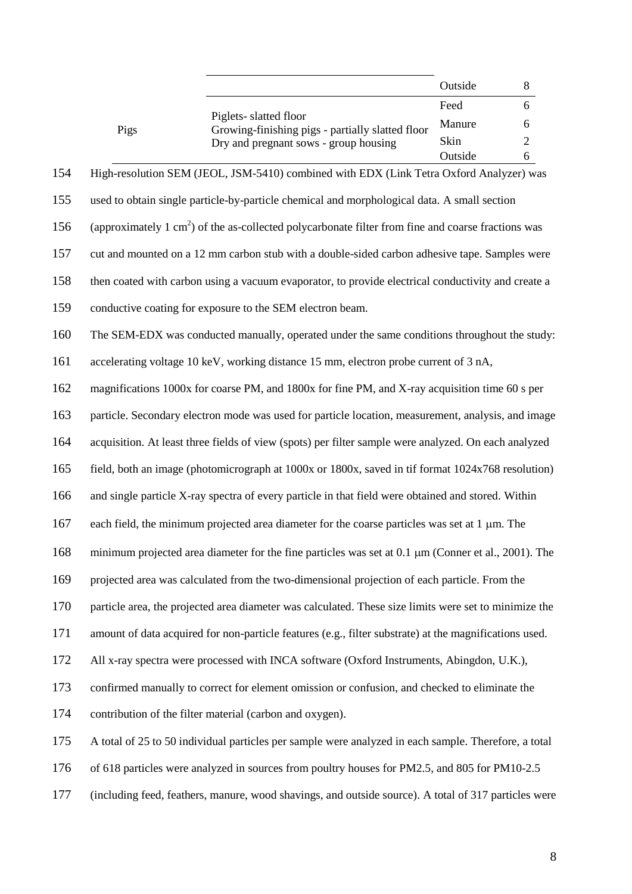|      |                                                                           | Outside |  |
|------|---------------------------------------------------------------------------|---------|--|
| Pigs |                                                                           | Feed    |  |
|      | Piglets-slatted floor<br>Growing-finishing pigs - partially slatted floor | Manure  |  |
|      | Dry and pregnant sows - group housing                                     | Skin    |  |
|      |                                                                           | Outside |  |

 used to obtain single particle-by-particle chemical and morphological data. A small section 156 (approximately 1 cm<sup>2</sup>) of the as-collected polycarbonate filter from fine and coarse fractions was cut and mounted on a 12 mm carbon stub with a double-sided carbon adhesive tape. Samples were then coated with carbon using a vacuum evaporator, to provide electrical conductivity and create a conductive coating for exposure to the SEM electron beam. The SEM-EDX was conducted manually, operated under the same conditions throughout the study: accelerating voltage 10 keV, working distance 15 mm, electron probe current of 3 nA,

High-resolution SEM (JEOL, JSM-5410) combined with EDX (Link Tetra Oxford Analyzer) was

magnifications 1000x for coarse PM, and 1800x for fine PM, and X-ray acquisition time 60 s per

particle. Secondary electron mode was used for particle location, measurement, analysis, and image

acquisition. At least three fields of view (spots) per filter sample were analyzed. On each analyzed

field, both an image (photomicrograph at 1000x or 1800x, saved in tif format 1024x768 resolution)

and single particle X-ray spectra of every particle in that field were obtained and stored. Within

167 each field, the minimum projected area diameter for the coarse particles was set at 1 µm. The

168 minimum projected area diameter for the fine particles was set at 0.1  $\mu$ m (Conner et al., 2001). The

projected area was calculated from the two-dimensional projection of each particle. From the

particle area, the projected area diameter was calculated. These size limits were set to minimize the

amount of data acquired for non-particle features (e.g., filter substrate) at the magnifications used.

All x-ray spectra were processed with INCA software (Oxford Instruments, Abingdon, U.K.),

confirmed manually to correct for element omission or confusion, and checked to eliminate the

contribution of the filter material (carbon and oxygen).

A total of 25 to 50 individual particles per sample were analyzed in each sample. Therefore, a total

of 618 particles were analyzed in sources from poultry houses for PM2.5, and 805 for PM10-2.5

(including feed, feathers, manure, wood shavings, and outside source). A total of 317 particles were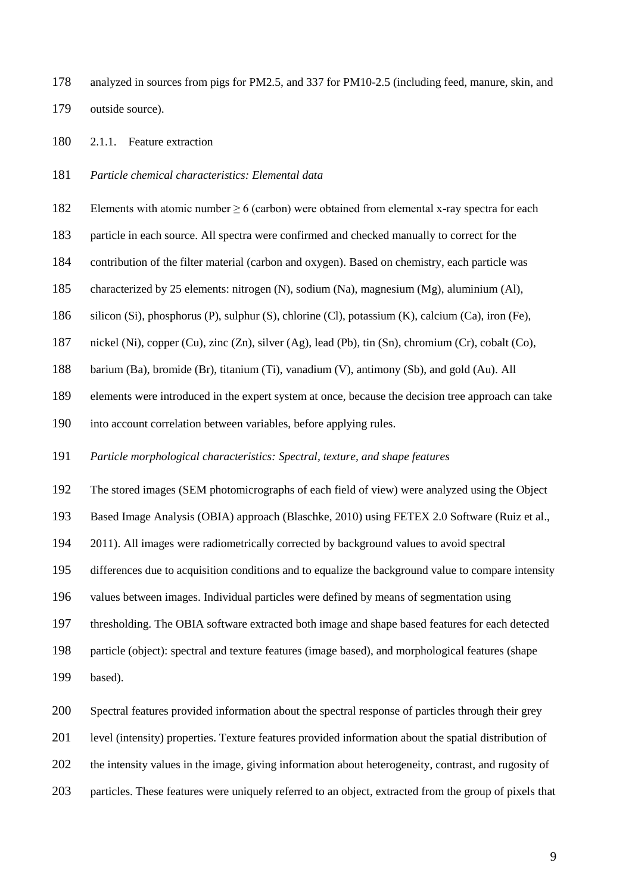- analyzed in sources from pigs for PM2.5, and 337 for PM10-2.5 (including feed, manure, skin, and outside source).
- 2.1.1. Feature extraction
- *Particle chemical characteristics: Elemental data*
- 182 Elements with atomic number  $\geq 6$  (carbon) were obtained from elemental x-ray spectra for each
- particle in each source. All spectra were confirmed and checked manually to correct for the
- contribution of the filter material (carbon and oxygen). Based on chemistry, each particle was
- characterized by 25 elements: nitrogen (N), sodium (Na), magnesium (Mg), aluminium (Al),
- silicon (Si), phosphorus (P), sulphur (S), chlorine (Cl), potassium (K), calcium (Ca), iron (Fe),
- nickel (Ni), copper (Cu), zinc (Zn), silver (Ag), lead (Pb), tin (Sn), chromium (Cr), cobalt (Co),
- barium (Ba), bromide (Br), titanium (Ti), vanadium (V), antimony (Sb), and gold (Au). All
- elements were introduced in the expert system at once, because the decision tree approach can take
- into account correlation between variables, before applying rules.
- *Particle morphological characteristics: Spectral, texture, and shape features*
- The stored images (SEM photomicrographs of each field of view) were analyzed using the Object
- Based Image Analysis (OBIA) approach (Blaschke, 2010) using FETEX 2.0 Software (Ruiz et al.,
- 2011). All images were radiometrically corrected by background values to avoid spectral
- differences due to acquisition conditions and to equalize the background value to compare intensity
- values between images. Individual particles were defined by means of segmentation using
- thresholding. The OBIA software extracted both image and shape based features for each detected
- particle (object): spectral and texture features (image based), and morphological features (shape
- based).
- Spectral features provided information about the spectral response of particles through their grey
- level (intensity) properties. Texture features provided information about the spatial distribution of
- the intensity values in the image, giving information about heterogeneity, contrast, and rugosity of
- particles. These features were uniquely referred to an object, extracted from the group of pixels that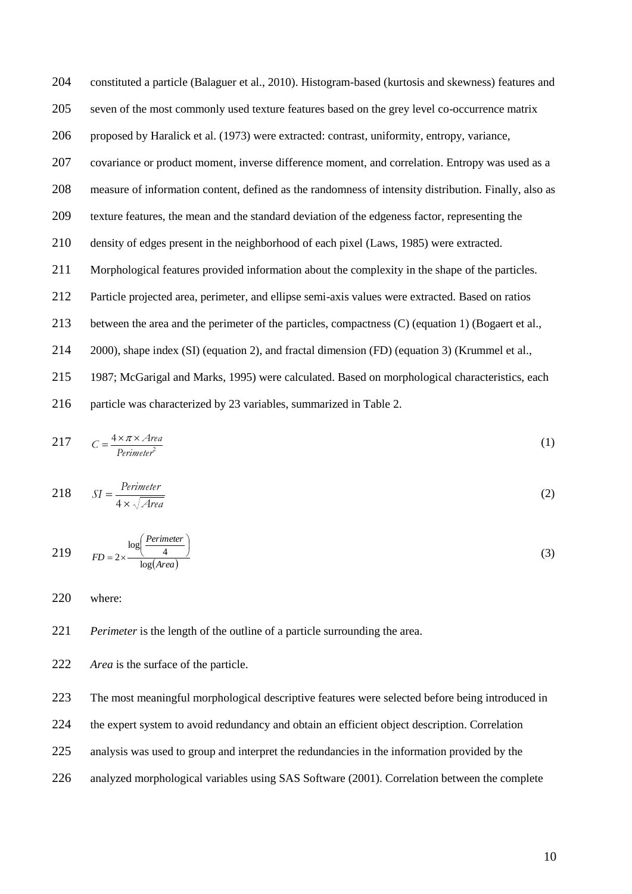constituted a particle (Balaguer et al., 2010). Histogram-based (kurtosis and skewness) features and seven of the most commonly used texture features based on the grey level co-occurrence matrix proposed by Haralick et al. (1973) were extracted: contrast, uniformity, entropy, variance, covariance or product moment, inverse difference moment, and correlation. Entropy was used as a measure of information content, defined as the randomness of intensity distribution. Finally, also as texture features, the mean and the standard deviation of the edgeness factor, representing the density of edges present in the neighborhood of each pixel (Laws, 1985) were extracted. Morphological features provided information about the complexity in the shape of the particles. Particle projected area, perimeter, and ellipse semi-axis values were extracted. Based on ratios between the area and the perimeter of the particles, compactness (C) (equation 1) (Bogaert et al., 2000), shape index (SI) (equation 2), and fractal dimension (FD) (equation 3) (Krummel et al., 1987; McGarigal and Marks, 1995) were calculated. Based on morphological characteristics, each particle was characterized by 23 variables, summarized in [Table 2.](#page-11-0)

$$
C = \frac{4 \times \pi \times Area}{Perimeter^2}
$$
 (1)

$$
SI = \frac{Perimeter}{4 \times \sqrt{Area}}
$$
 (2)

$$
219 \qquad FD = 2 \times \frac{\log \left( \frac{Perimeter}{4} \right)}{\log (Area)} \tag{3}
$$

220 where:

221 *Perimeter* is the length of the outline of a particle surrounding the area.

## 222 *Area* is the surface of the particle.

223 The most meaningful morphological descriptive features were selected before being introduced in

- 224 the expert system to avoid redundancy and obtain an efficient object description. Correlation
- 225 analysis was used to group and interpret the redundancies in the information provided by the
- 226 analyzed morphological variables using SAS Software (2001). Correlation between the complete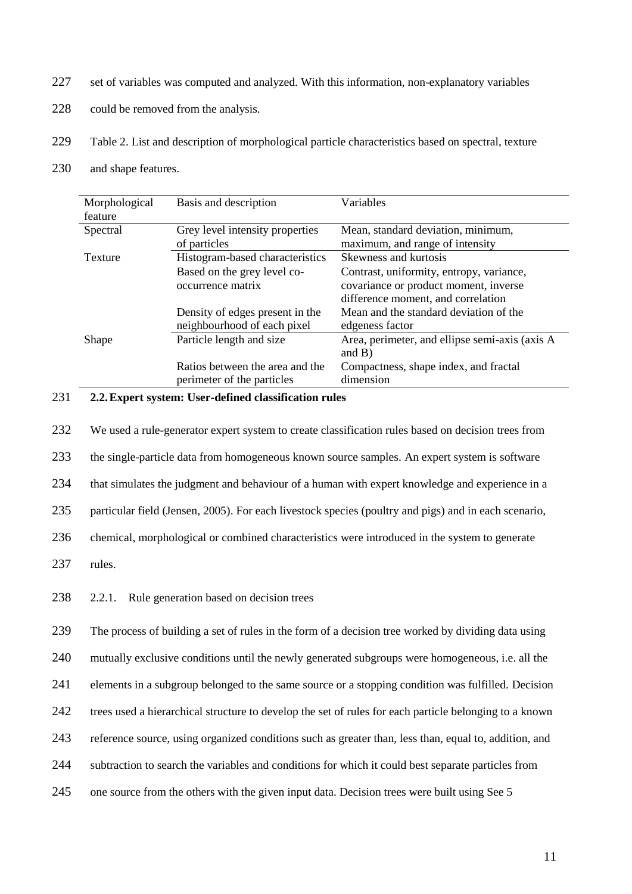- 227 set of variables was computed and analyzed. With this information, non-explanatory variables
- 228 could be removed from the analysis.
- <span id="page-11-0"></span>229 Table 2. List and description of morphological particle characteristics based on spectral, texture
- 230 and shape features.

| Morphological<br>feature | Basis and description                                          | Variables                                                                                                               |
|--------------------------|----------------------------------------------------------------|-------------------------------------------------------------------------------------------------------------------------|
| Spectral                 | Grey level intensity properties<br>of particles                | Mean, standard deviation, minimum,<br>maximum, and range of intensity                                                   |
| Texture                  | Histogram-based characteristics                                | Skewness and kurtosis                                                                                                   |
|                          | Based on the grey level co-<br>occurrence matrix               | Contrast, uniformity, entropy, variance,<br>covariance or product moment, inverse<br>difference moment, and correlation |
|                          | Density of edges present in the<br>neighbourhood of each pixel | Mean and the standard deviation of the<br>edgeness factor                                                               |
| Shape                    | Particle length and size                                       | Area, perimeter, and ellipse semi-axis (axis A<br>and $B)$                                                              |
|                          | Ratios between the area and the<br>perimeter of the particles  | Compactness, shape index, and fractal<br>dimension                                                                      |

### 231 **2.2.Expert system: User-defined classification rules**

232 We used a rule-generator expert system to create classification rules based on decision trees from

233 the single-particle data from homogeneous known source samples. An expert system is software

234 that simulates the judgment and behaviour of a human with expert knowledge and experience in a

235 particular field (Jensen, 2005). For each livestock species (poultry and pigs) and in each scenario,

236 chemical, morphological or combined characteristics were introduced in the system to generate

237 rules.

238 2.2.1. Rule generation based on decision trees

239 The process of building a set of rules in the form of a decision tree worked by dividing data using

240 mutually exclusive conditions until the newly generated subgroups were homogeneous, i.e. all the

241 elements in a subgroup belonged to the same source or a stopping condition was fulfilled. Decision

242 trees used a hierarchical structure to develop the set of rules for each particle belonging to a known

243 reference source, using organized conditions such as greater than, less than, equal to, addition, and

- 244 subtraction to search the variables and conditions for which it could best separate particles from
- 245 one source from the others with the given input data. Decision trees were built using See 5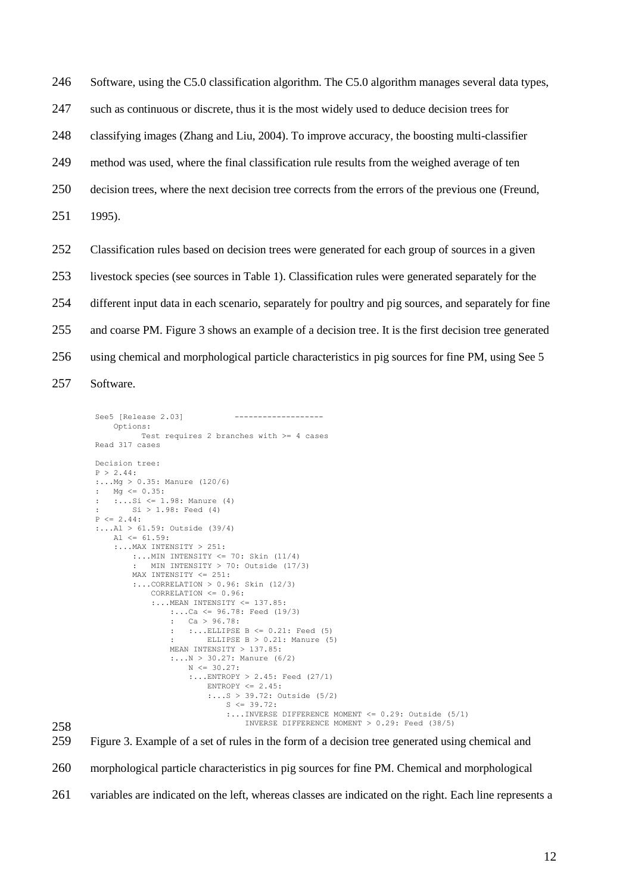Software, using the C5.0 classification algorithm. The C5.0 algorithm manages several data types, such as continuous or discrete, thus it is the most widely used to deduce decision trees for classifying images (Zhang and Liu, 2004). To improve accuracy, the boosting multi-classifier method was used, where the final classification rule results from the weighed average of ten decision trees, where the next decision tree corrects from the errors of the previous one (Freund, 251 1995).

 Classification rules based on decision trees were generated for each group of sources in a given livestock species (see sources in [Table 1\)](#page-7-0). Classification rules were generated separately for the different input data in each scenario, separately for poultry and pig sources, and separately for fine and coarse PM. Figure 3 shows an example of a decision tree. It is the first decision tree generated using chemical and morphological particle characteristics in pig sources for fine PM, using See 5 Software.

```
See5 [Release 2.03] ------------------
   Options:
         Test requires 2 branches with >= 4 cases
Read 317 cases 
Decision tree:
P > 2.44:
:...Mg > 0.35: Manure (120/6)
: Mg <= 0.35:
: :...Si <= 1.98: Manure (4)
       Si > 1.98: Feed (4)
P \le 2.44:
:...Al > 61.59: Outside (39/4)
   Al \leq 61.59:
    :...MAX INTENSITY > 251:
        :...MIN INTENSITY <= 70: Skin (11/4)
           : MIN INTENSITY > 70: Outside (17/3)
        MAX INTENSITY <= 251:
        :...CORRELATION > 0.96: Skin (12/3)
            CORRELATION <= 0.96:
            :...MEAN INTENSITY <= 137.85:
                :...Ca <= 96.78: Feed (19/3)<br>: Ca > 96.78:
                    Ca > 96.78:: :...ELLIPSE B <= 0.21: Feed (5)
                        ELLIPSE B > 0.21: Manure (5)
                MEAN INTENSITY > 137.85:
                :...N > 30.27: Manure (6/2)
                    N \leq 30.27:
                    :...ENTROPY > 2.45: Feed (27/1)
                        ENTROPY \leq 2.45:
                         :...S > 39.72: Outside (5/2)
                             S \le 39.72:
                             :...INVERSE DIFFERENCE MOMENT <= 0.29: Outside (5/1)
                                 INVERSE DIFFERENCE MOMENT > 0.29: Feed (38/5)
```
258

259 Figure 3. Example of a set of rules in the form of a decision tree generated using chemical and

260 morphological particle characteristics in pig sources for fine PM. Chemical and morphological

261 variables are indicated on the left, whereas classes are indicated on the right. Each line represents a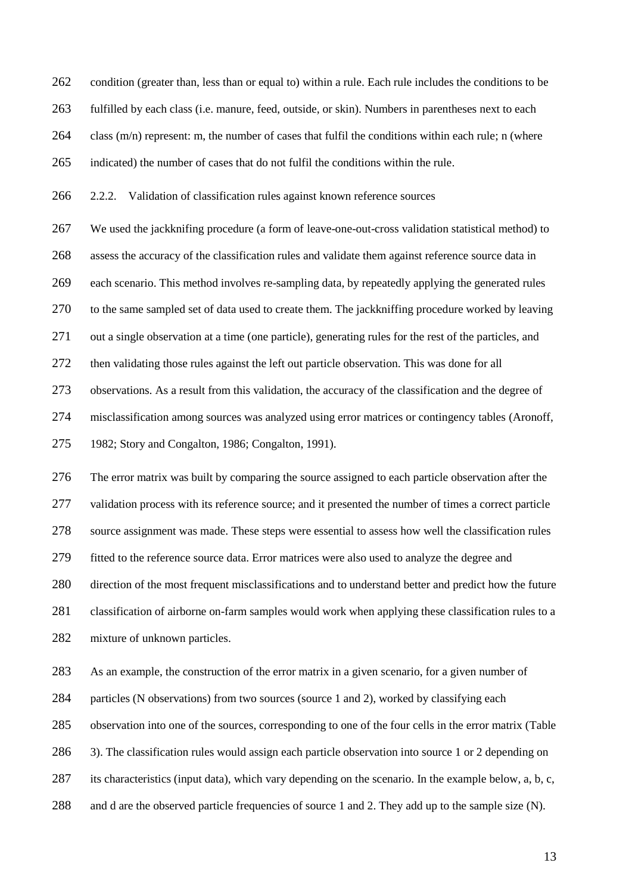262 condition (greater than, less than or equal to) within a rule. Each rule includes the conditions to be fulfilled by each class (i.e. manure, feed, outside, or skin). Numbers in parentheses next to each 264 class (m/n) represent: m, the number of cases that fulfil the conditions within each rule; n (where indicated) the number of cases that do not fulfil the conditions within the rule.

2.2.2. Validation of classification rules against known reference sources

 We used the jackknifing procedure (a form of leave-one-out-cross validation statistical method) to assess the accuracy of the classification rules and validate them against reference source data in each scenario. This method involves re-sampling data, by repeatedly applying the generated rules to the same sampled set of data used to create them. The jackkniffing procedure worked by leaving out a single observation at a time (one particle), generating rules for the rest of the particles, and then validating those rules against the left out particle observation. This was done for all observations. As a result from this validation, the accuracy of the classification and the degree of misclassification among sources was analyzed using error matrices or contingency tables (Aronoff,

1982; Story and Congalton, 1986; Congalton, 1991).

 The error matrix was built by comparing the source assigned to each particle observation after the validation process with its reference source; and it presented the number of times a correct particle source assignment was made. These steps were essential to assess how well the classification rules fitted to the reference source data. Error matrices were also used to analyze the degree and direction of the most frequent misclassifications and to understand better and predict how the future classification of airborne on-farm samples would work when applying these classification rules to a mixture of unknown particles.

As an example, the construction of the error matrix in a given scenario, for a given number of

particles (N observations) from two sources (source 1 and 2), worked by classifying each

observation into one of the sources, corresponding to one of the four cells in the error matrix [\(Table](#page-14-0) 

[3\)](#page-14-0). The classification rules would assign each particle observation into source 1 or 2 depending on

its characteristics (input data), which vary depending on the scenario. In the example below, a, b, c,

and d are the observed particle frequencies of source 1 and 2. They add up to the sample size (N).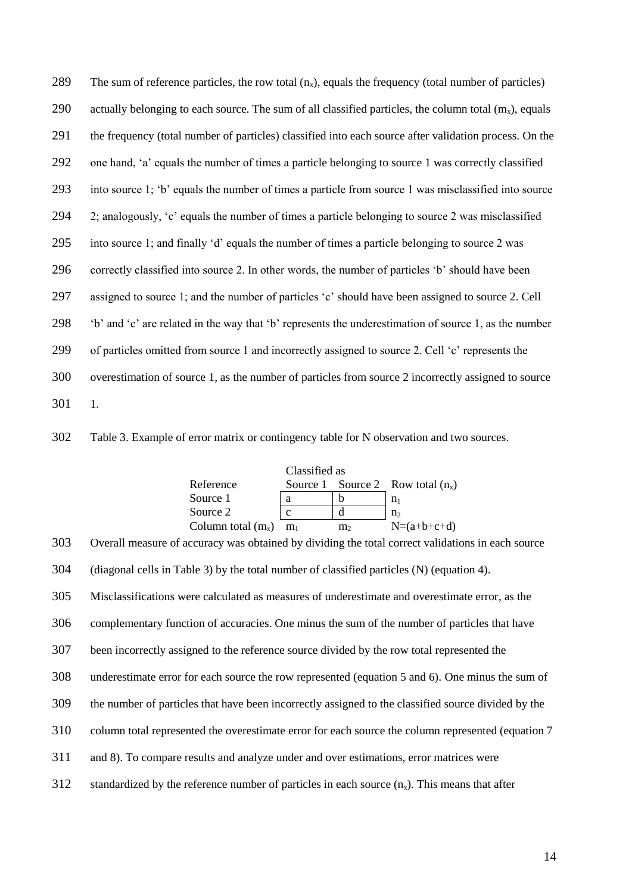289 The sum of reference particles, the row total  $(n_x)$ , equals the frequency (total number of particles) 290 actually belonging to each source. The sum of all classified particles, the column total  $(m_x)$ , equals the frequency (total number of particles) classified into each source after validation process. On the one hand, "a" equals the number of times a particle belonging to source 1 was correctly classified into source 1; "b" equals the number of times a particle from source 1 was misclassified into source 2; analogously, "c" equals the number of times a particle belonging to source 2 was misclassified into source 1; and finally "d" equals the number of times a particle belonging to source 2 was correctly classified into source 2. In other words, the number of particles "b" should have been assigned to source 1; and the number of particles "c" should have been assigned to source 2. Cell "b" and "c" are related in the way that "b" represents the underestimation of source 1, as the number of particles omitted from source 1 and incorrectly assigned to source 2. Cell "c" represents the overestimation of source 1, as the number of particles from source 2 incorrectly assigned to source 1.

<span id="page-14-0"></span>Table 3. Example of error matrix or contingency table for N observation and two sources.

|                      | Classified as  |                |                                     |
|----------------------|----------------|----------------|-------------------------------------|
| Reference            |                |                | Source 1 Source 2 Row total $(n_x)$ |
| Source 1             | a              |                | n <sub>1</sub>                      |
| Source 2             |                |                | $n_{2}$                             |
| Column total $(m_x)$ | m <sub>1</sub> | m <sub>2</sub> | $N=(a+b+c+d)$                       |

 Overall measure of accuracy was obtained by dividing the total correct validations in each source (diagonal cells in [Table 3\)](#page-14-0) by the total number of classified particles (N) (equation 4).

Misclassifications were calculated as measures of underestimate and overestimate error, as the

complementary function of accuracies. One minus the sum of the number of particles that have

been incorrectly assigned to the reference source divided by the row total represented the

underestimate error for each source the row represented (equation 5 and 6). One minus the sum of

the number of particles that have been incorrectly assigned to the classified source divided by the

- column total represented the overestimate error for each source the column represented (equation 7
- and 8). To compare results and analyze under and over estimations, error matrices were

312 standardized by the reference number of particles in each source  $(n_x)$ . This means that after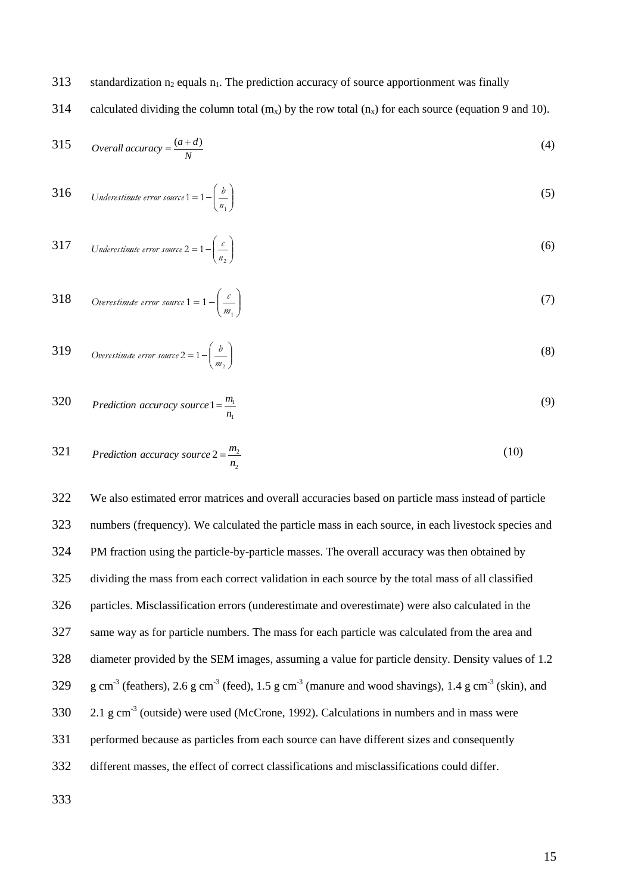- 313 standardization  $n_2$  equals  $n_1$ . The prediction accuracy of source apportionment was finally
- 314 calculated dividing the column total  $(m_x)$  by the row total  $(n_x)$  for each source (equation 9 and 10).

$$
315 \qquad \text{Overall accuracy} = \frac{(a+d)}{N} \tag{4}
$$

316 *Understanding error source* 
$$
1 = 1 - \left(\frac{b}{n_1}\right)
$$
 (5)

317 *Understanding error source* 
$$
2 = 1 - \left(\frac{c}{n_2}\right)
$$
 (6)

318 *Overestimate error source* 
$$
1 = 1 - \left(\frac{c}{m_1}\right)
$$
 (7)

319 *Overestimate error source* 
$$
2 = 1 - \left(\frac{b}{m_2}\right)
$$
 (8)

320 *Prediction accuracy source* 
$$
1 = \frac{m_1}{n_1}
$$
 (9)

321 Prediction accuracy source 
$$
2 = \frac{m_2}{n_2}
$$
 (10)

 We also estimated error matrices and overall accuracies based on particle mass instead of particle numbers (frequency). We calculated the particle mass in each source, in each livestock species and PM fraction using the particle-by-particle masses. The overall accuracy was then obtained by dividing the mass from each correct validation in each source by the total mass of all classified particles. Misclassification errors (underestimate and overestimate) were also calculated in the same way as for particle numbers. The mass for each particle was calculated from the area and diameter provided by the SEM images, assuming a value for particle density. Density values of 1.2  $329 \text{ g cm}^3$  (feathers), 2.6 g cm<sup>-3</sup> (feed), 1.5 g cm<sup>-3</sup> (manure and wood shavings), 1.4 g cm<sup>-3</sup> (skin), and  $330 \,$  2.1 g cm<sup>-3</sup> (outside) were used (McCrone, 1992). Calculations in numbers and in mass were performed because as particles from each source can have different sizes and consequently different masses, the effect of correct classifications and misclassifications could differ.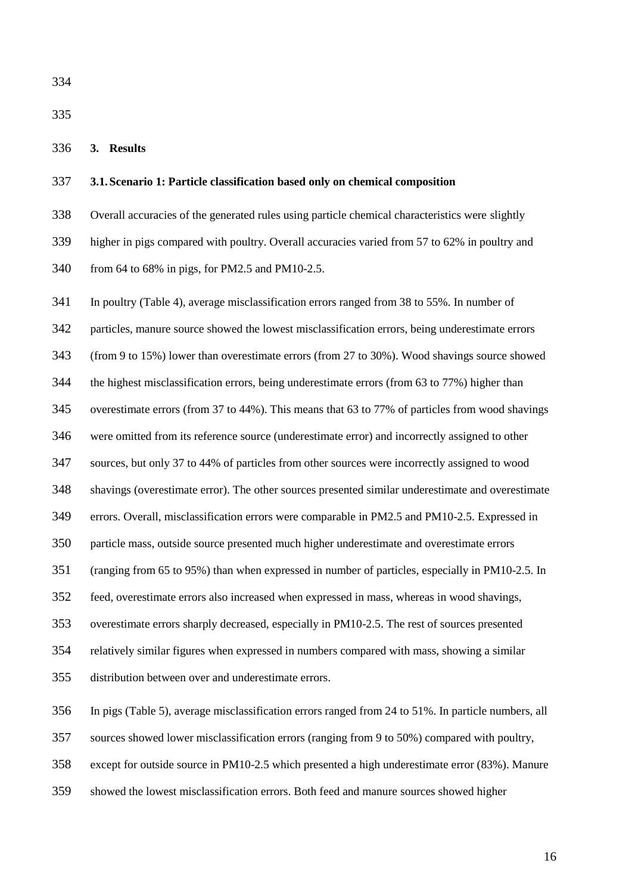**3. Results** 

### **3.1.Scenario 1: Particle classification based only on chemical composition**

Overall accuracies of the generated rules using particle chemical characteristics were slightly

higher in pigs compared with poultry. Overall accuracies varied from 57 to 62% in poultry and

from 64 to 68% in pigs, for PM2.5 and PM10-2.5.

In poultry (Table 4), average misclassification errors ranged from 38 to 55%. In number of

particles, manure source showed the lowest misclassification errors, being underestimate errors

(from 9 to 15%) lower than overestimate errors (from 27 to 30%). Wood shavings source showed

the highest misclassification errors, being underestimate errors (from 63 to 77%) higher than

overestimate errors (from 37 to 44%). This means that 63 to 77% of particles from wood shavings

were omitted from its reference source (underestimate error) and incorrectly assigned to other

sources, but only 37 to 44% of particles from other sources were incorrectly assigned to wood

shavings (overestimate error). The other sources presented similar underestimate and overestimate

errors. Overall, misclassification errors were comparable in PM2.5 and PM10-2.5. Expressed in

particle mass, outside source presented much higher underestimate and overestimate errors

(ranging from 65 to 95%) than when expressed in number of particles, especially in PM10-2.5. In

feed, overestimate errors also increased when expressed in mass, whereas in wood shavings,

overestimate errors sharply decreased, especially in PM10-2.5. The rest of sources presented

relatively similar figures when expressed in numbers compared with mass, showing a similar

distribution between over and underestimate errors.

In pigs (Table 5), average misclassification errors ranged from 24 to 51%. In particle numbers, all

sources showed lower misclassification errors (ranging from 9 to 50%) compared with poultry,

except for outside source in PM10-2.5 which presented a high underestimate error (83%). Manure

showed the lowest misclassification errors. Both feed and manure sources showed higher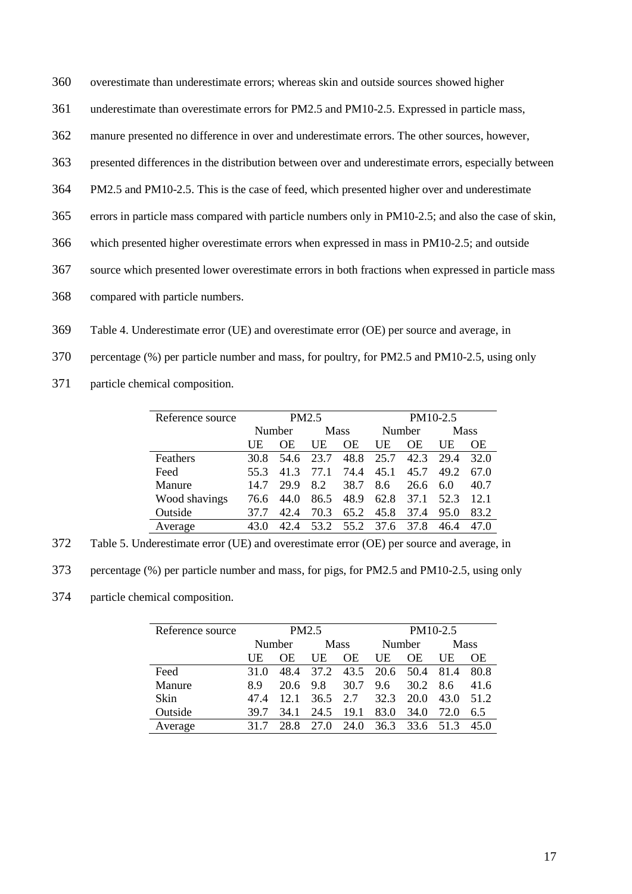- 360 overestimate than underestimate errors; whereas skin and outside sources showed higher
- 361 underestimate than overestimate errors for PM2.5 and PM10-2.5. Expressed in particle mass,
- 362 manure presented no difference in over and underestimate errors. The other sources, however,
- 363 presented differences in the distribution between over and underestimate errors, especially between
- 364 PM2.5 and PM10-2.5. This is the case of feed, which presented higher over and underestimate
- 365 errors in particle mass compared with particle numbers only in PM10-2.5; and also the case of skin,
- 366 which presented higher overestimate errors when expressed in mass in PM10-2.5; and outside
- 367 source which presented lower overestimate errors in both fractions when expressed in particle mass
- 368 compared with particle numbers.
- 369 Table 4. Underestimate error (UE) and overestimate error (OE) per source and average, in
- 370 percentage (%) per particle number and mass, for poultry, for PM2.5 and PM10-2.5, using only
- 371 particle chemical composition.

| Reference source |      | PM <sub>2.5</sub> |      |             |        | PM10-2.5 |      |             |  |
|------------------|------|-------------------|------|-------------|--------|----------|------|-------------|--|
|                  |      | Number            |      | <b>Mass</b> | Number |          |      | <b>Mass</b> |  |
|                  | UE   | <b>OE</b>         | UЕ   | OЕ          | UE     | OЕ       | UE   | OЕ          |  |
| Feathers         | 30.8 | 54.6              | 23.7 | 48.8        | 25.7   | 42.3     | 29.4 | 32.0        |  |
| Feed             | 55.3 | 41.3              | 77.1 | 74.4        | 45.1   | 45.7     | 49.2 | 67.0        |  |
| Manure           | 14.7 | 29.9              | 8.2  | 38.7        | 8.6    | 26.6     | 6.0  | 40.7        |  |
| Wood shavings    | 76.6 | 44.0              | 86.5 | 48.9        | 62.8   | 37.1     | 52.3 | 12.1        |  |
| Outside          | 37.7 | 42.4              | 70.3 | 65.2        | 45.8   | 37.4     | 95.0 | 83.2        |  |
| Average          |      | 42.4              | 53.2 | 55.2        | 37.6   | 37.8     | 46.4 |             |  |

372 Table 5. Underestimate error (UE) and overestimate error (OE) per source and average, in

- 373 percentage (%) per particle number and mass, for pigs, for PM2.5 and PM10-2.5, using only
- 374 particle chemical composition.

| Reference source | PM <sub>2.5</sub> |      |             |      |                | PM10-2.5 |             |      |  |
|------------------|-------------------|------|-------------|------|----------------|----------|-------------|------|--|
|                  | Number            |      | <b>Mass</b> |      | Number         |          | <b>Mass</b> |      |  |
|                  | UE                | OЕ   | UE          | OЕ   | UE             | OЕ       | UE          | OЕ   |  |
| Feed             | 31 O              | 48.4 | 37.2        |      | 43.5 20.6 50.4 |          | 81.4        | 80.8 |  |
| Manure           | 89                | 20.6 | 9.8         | 30.7 | 9.6            | 30.2     | 8.6         | 41.6 |  |
| Skin             | 47.4              | 12.1 | $36.5$ 2.7  |      | 32.3           | 20.0     | 43.0        | 51.2 |  |
| Outside          | 39.7              | 34.1 | 24.5        | 19.1 | 83.0           | 34.0     | 72.0        | 6.5  |  |
| Average          | 317               | 28.8 | 27.0        | 24.0 | 36.3           | 33.6     | 51.3        | 45.0 |  |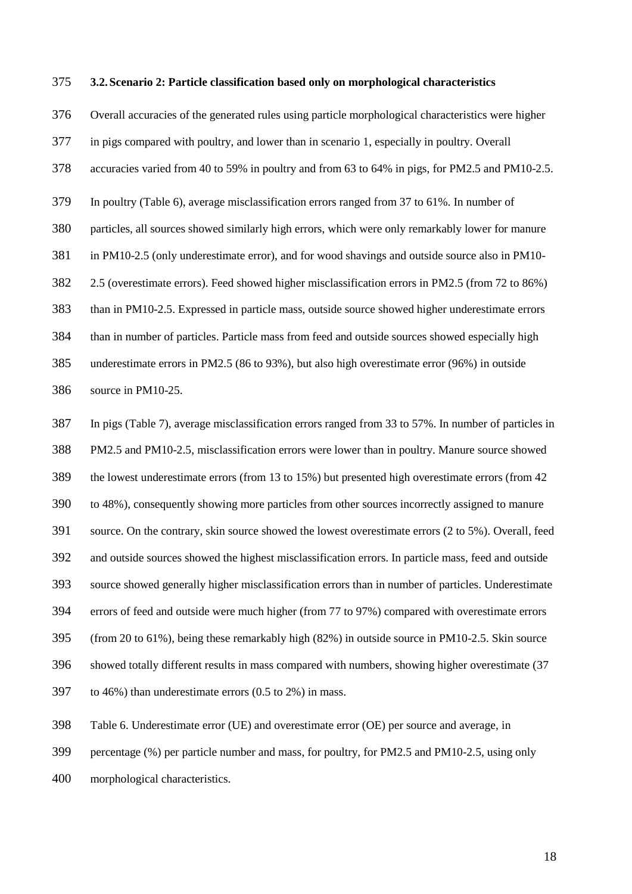#### **3.2.Scenario 2: Particle classification based only on morphological characteristics**

Overall accuracies of the generated rules using particle morphological characteristics were higher

in pigs compared with poultry, and lower than in scenario 1, especially in poultry. Overall

- accuracies varied from 40 to 59% in poultry and from 63 to 64% in pigs, for PM2.5 and PM10-2.5.
- In poultry (Table 6), average misclassification errors ranged from 37 to 61%. In number of
- particles, all sources showed similarly high errors, which were only remarkably lower for manure

in PM10-2.5 (only underestimate error), and for wood shavings and outside source also in PM10-

2.5 (overestimate errors). Feed showed higher misclassification errors in PM2.5 (from 72 to 86%)

than in PM10-2.5. Expressed in particle mass, outside source showed higher underestimate errors

than in number of particles. Particle mass from feed and outside sources showed especially high

underestimate errors in PM2.5 (86 to 93%), but also high overestimate error (96%) in outside

source in PM10-25.

 In pigs (Table 7), average misclassification errors ranged from 33 to 57%. In number of particles in PM2.5 and PM10-2.5, misclassification errors were lower than in poultry. Manure source showed the lowest underestimate errors (from 13 to 15%) but presented high overestimate errors (from 42 to 48%), consequently showing more particles from other sources incorrectly assigned to manure source. On the contrary, skin source showed the lowest overestimate errors (2 to 5%). Overall, feed and outside sources showed the highest misclassification errors. In particle mass, feed and outside source showed generally higher misclassification errors than in number of particles. Underestimate errors of feed and outside were much higher (from 77 to 97%) compared with overestimate errors (from 20 to 61%), being these remarkably high (82%) in outside source in PM10-2.5. Skin source showed totally different results in mass compared with numbers, showing higher overestimate (37 397 to 46%) than underestimate errors  $(0.5 \text{ to } 2\%)$  in mass.

Table 6. Underestimate error (UE) and overestimate error (OE) per source and average, in

percentage (%) per particle number and mass, for poultry, for PM2.5 and PM10-2.5, using only

morphological characteristics.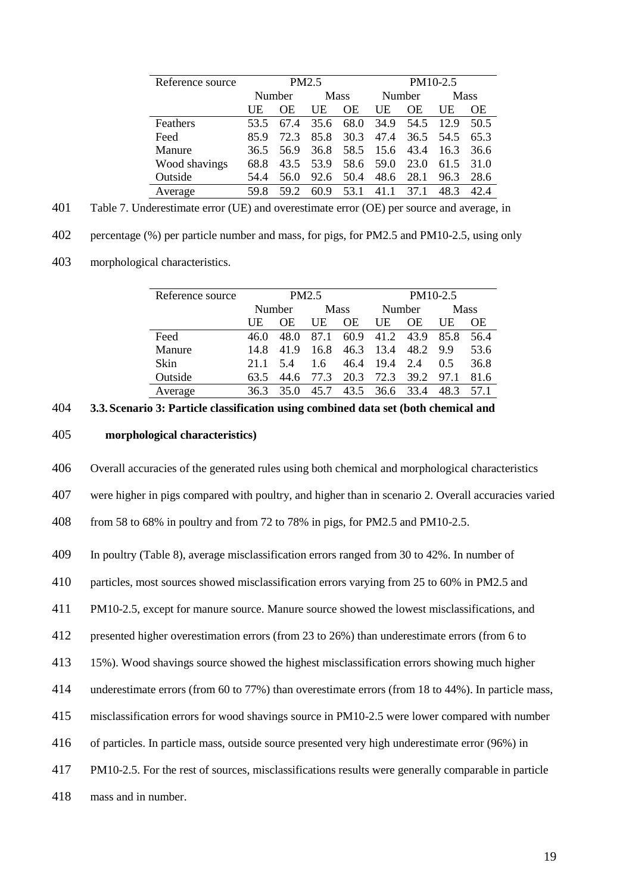| Reference source | PM <sub>2.5</sub> |           |      |             |           | PM10-2.5  |           |             |  |
|------------------|-------------------|-----------|------|-------------|-----------|-----------|-----------|-------------|--|
|                  |                   | Number    |      | <b>Mass</b> | Number    |           |           | <b>Mass</b> |  |
|                  | UE                | <b>OE</b> | UE   | <b>OE</b>   | UE        | <b>OE</b> | UE        | OЕ          |  |
| Feathers         | 53.5              | 67.4      | 35.6 | 68.0        | 34.9      | 54.5      | 12.9      | 50.5        |  |
| Feed             | 85.9              | 72.3      | 85.8 | 30.3        | 47.4      |           | 36.5 54.5 | 65.3        |  |
| Manure           | 36.5              | 56.9      | 36.8 |             | 58.5 15.6 | 43.4      | 16.3      | 36.6        |  |
| Wood shavings    | 68.8              | 43.5      | 53.9 | 58.6        | 59.0      | 23.0      | 61.5      | 31.0        |  |
| Outside          | 54.4              | 56.0      | 92.6 | 50.4        | 48.6      | 28.1      | 96.3      | 28.6        |  |
| Average          | 59.8              | 59.2      | 60.9 | 53.1        | 41.1      | 37.1      | 48.3      |             |  |

401 Table 7. Underestimate error (UE) and overestimate error (OE) per source and average, in

403 morphological characteristics.

| Reference source |      |        | PM2.5         |             |       | PM10-2.5  |      |             |  |
|------------------|------|--------|---------------|-------------|-------|-----------|------|-------------|--|
|                  |      | Number |               | <b>Mass</b> |       | Number    |      | <b>Mass</b> |  |
|                  | UE   | OE     | UE            | <b>OE</b>   | UE    | <b>OE</b> | UE   | OE.         |  |
| Feed             | 46.0 | 48.0   | 87.1          | 60.9        | 41.2  | 43.9      | 85.8 | 56.4        |  |
| Manure           | 14.8 | 41.9   | 16.8          | 46.3        | 13.4  | 48.2      | 9.9  | 53.6        |  |
| Skin             |      | 54     | $1.6^{\circ}$ | 46.4        | -19.4 | 2.4       | 0.5  | 36.8        |  |
| Outside          | 63.5 | 44.6   | 77.3          | 20.3        | 72.3  | 39.2      | 97.1 | 81.6        |  |
| Average          | 36.3 |        | 45.7          | 43.5        | 36.6  | 33.4      | 48.3 | 57 1        |  |

404 **3.3.Scenario 3: Particle classification using combined data set (both chemical and** 

# 405 **morphological characteristics)**

406 Overall accuracies of the generated rules using both chemical and morphological characteristics

407 were higher in pigs compared with poultry, and higher than in scenario 2. Overall accuracies varied

408 from 58 to 68% in poultry and from 72 to 78% in pigs, for PM2.5 and PM10-2.5.

409 In poultry (Table 8), average misclassification errors ranged from 30 to 42%. In number of

410 particles, most sources showed misclassification errors varying from 25 to 60% in PM2.5 and

411 PM10-2.5, except for manure source. Manure source showed the lowest misclassifications, and

412 presented higher overestimation errors (from 23 to 26%) than underestimate errors (from 6 to

413 15%). Wood shavings source showed the highest misclassification errors showing much higher

414 underestimate errors (from 60 to 77%) than overestimate errors (from 18 to 44%). In particle mass,

- 415 misclassification errors for wood shavings source in PM10-2.5 were lower compared with number
- 416 of particles. In particle mass, outside source presented very high underestimate error (96%) in
- 417 PM10-2.5. For the rest of sources, misclassifications results were generally comparable in particle
- 418 mass and in number.

<sup>402</sup> percentage (%) per particle number and mass, for pigs, for PM2.5 and PM10-2.5, using only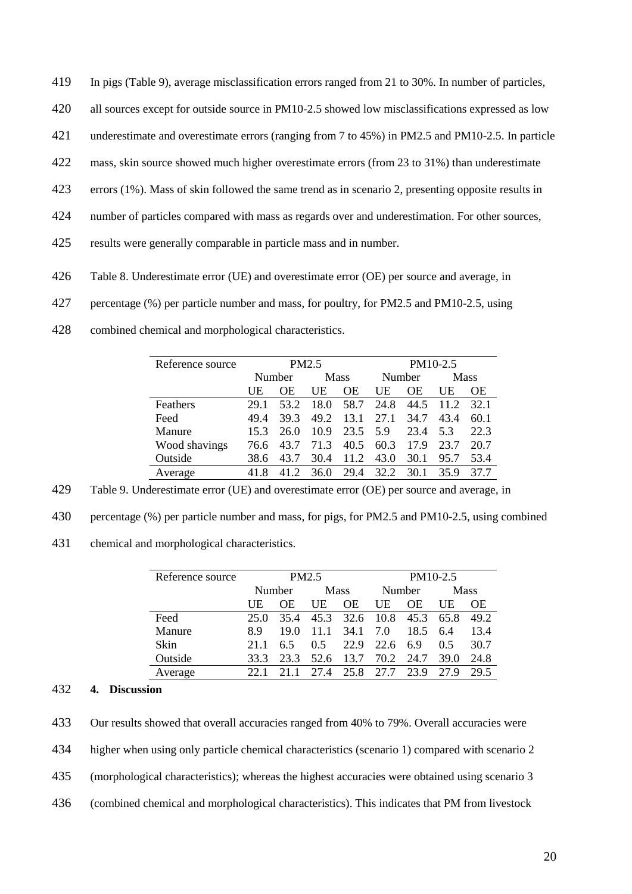419 In pigs (Table 9), average misclassification errors ranged from 21 to 30%. In number of particles,

- 420 all sources except for outside source in PM10-2.5 showed low misclassifications expressed as low
- 421 underestimate and overestimate errors (ranging from 7 to 45%) in PM2.5 and PM10-2.5. In particle
- 422 mass, skin source showed much higher overestimate errors (from 23 to 31%) than underestimate
- 423 errors (1%). Mass of skin followed the same trend as in scenario 2, presenting opposite results in
- 424 number of particles compared with mass as regards over and underestimation. For other sources,
- 425 results were generally comparable in particle mass and in number.
- 426 Table 8. Underestimate error (UE) and overestimate error (OE) per source and average, in
- 427 percentage (%) per particle number and mass, for poultry, for PM2.5 and PM10-2.5, using
- 428 combined chemical and morphological characteristics.

| Reference source |      | PM2.5  |      |             |      | PM10-2.5 |      |             |  |
|------------------|------|--------|------|-------------|------|----------|------|-------------|--|
|                  |      | Number |      | <b>Mass</b> |      | Number   |      | <b>Mass</b> |  |
|                  | UE   | OЕ     | UЕ   | <b>OE</b>   | UE   | OЕ       | UE   | OЕ          |  |
| Feathers         | 29.1 | 53.2   | 18.0 | 58.7        | 24.8 | 44.5     | 11.2 | 32.1        |  |
| Feed             | 494  | 39.3   | 49.2 | 13.1        | 27.1 | 34.7     | 43.4 | 60.1        |  |
| Manure           | 15.3 | 26.0   | 10.9 | 23.5        | 5.9  | 23.4     | 5.3  | 22.3        |  |
| Wood shavings    | 76.6 | 43.7   | 71.3 | 40.5        | 60.3 | 17.9     | 23.7 | 20.7        |  |
| Outside          | 38.6 | 43.7   | 30.4 | 11.2        | 43.0 | 30.1     | 95.7 | 53.4        |  |
| Average          |      | 41 2   | 36.0 | 29.4        | 32.2 | 30.1     | 35.9 |             |  |

429 Table 9. Underestimate error (UE) and overestimate error (OE) per source and average, in

- 430 percentage (%) per particle number and mass, for pigs, for PM2.5 and PM10-2.5, using combined
- 431 chemical and morphological characteristics.

| Reference source | PM2.5 |        |               |                     |               | PM10-2.5  |             |           |  |
|------------------|-------|--------|---------------|---------------------|---------------|-----------|-------------|-----------|--|
|                  |       | Number |               | <b>Mass</b>         | Number        |           | <b>Mass</b> |           |  |
|                  | UE    | OE.    | UE            | <b>OE</b>           | UE            | <b>OE</b> | UE          | <b>OE</b> |  |
| Feed             | 25 O  | 35.4   |               | 45.3 32.6 10.8 45.3 |               |           | 65.8        | 49.2      |  |
| Manure           | 89    | 19.0   |               | $11.1$ $34.1$ $7.0$ |               | 18.5 6.4  |             | 13.4      |  |
| Skin             | 21 1  | 6.5    | $0.5^{\circ}$ |                     | 22.9 22.6 6.9 |           | 0.5         | 30.7      |  |
| Outside          | 33.3  | 23.3   |               | 52.6 13.7 70.2 24.7 |               |           | 39.0        | 24.8      |  |
| Average          | 22 I  |        | 27.4          | 25.8 27.7           |               | 23.9      | 27.9        | 29.5      |  |

432 **4. Discussion**

433 Our results showed that overall accuracies ranged from 40% to 79%. Overall accuracies were

434 higher when using only particle chemical characteristics (scenario 1) compared with scenario 2

435 (morphological characteristics); whereas the highest accuracies were obtained using scenario 3

436 (combined chemical and morphological characteristics). This indicates that PM from livestock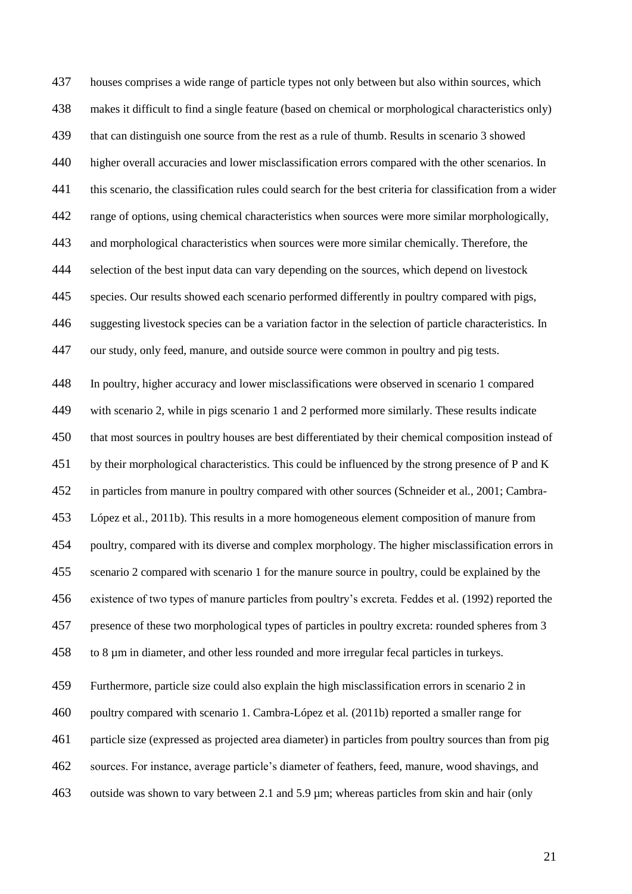houses comprises a wide range of particle types not only between but also within sources, which makes it difficult to find a single feature (based on chemical or morphological characteristics only) that can distinguish one source from the rest as a rule of thumb. Results in scenario 3 showed higher overall accuracies and lower misclassification errors compared with the other scenarios. In this scenario, the classification rules could search for the best criteria for classification from a wider range of options, using chemical characteristics when sources were more similar morphologically, and morphological characteristics when sources were more similar chemically. Therefore, the selection of the best input data can vary depending on the sources, which depend on livestock species. Our results showed each scenario performed differently in poultry compared with pigs, suggesting livestock species can be a variation factor in the selection of particle characteristics. In our study, only feed, manure, and outside source were common in poultry and pig tests. In poultry, higher accuracy and lower misclassifications were observed in scenario 1 compared with scenario 2, while in pigs scenario 1 and 2 performed more similarly. These results indicate that most sources in poultry houses are best differentiated by their chemical composition instead of by their morphological characteristics. This could be influenced by the strong presence of P and K in particles from manure in poultry compared with other sources (Schneider et al*.*, 2001; Cambra- López et al*.*, 2011b). This results in a more homogeneous element composition of manure from poultry, compared with its diverse and complex morphology. The higher misclassification errors in scenario 2 compared with scenario 1 for the manure source in poultry, could be explained by the existence of two types of manure particles from poultry"s excreta. Feddes et al*.* (1992) reported the presence of these two morphological types of particles in poultry excreta: rounded spheres from 3 to 8 µm in diameter, and other less rounded and more irregular fecal particles in turkeys. Furthermore, particle size could also explain the high misclassification errors in scenario 2 in poultry compared with scenario 1. Cambra-López et al*.* (2011b) reported a smaller range for particle size (expressed as projected area diameter) in particles from poultry sources than from pig sources. For instance, average particle"s diameter of feathers, feed, manure, wood shavings, and outside was shown to vary between 2.1 and 5.9 µm; whereas particles from skin and hair (only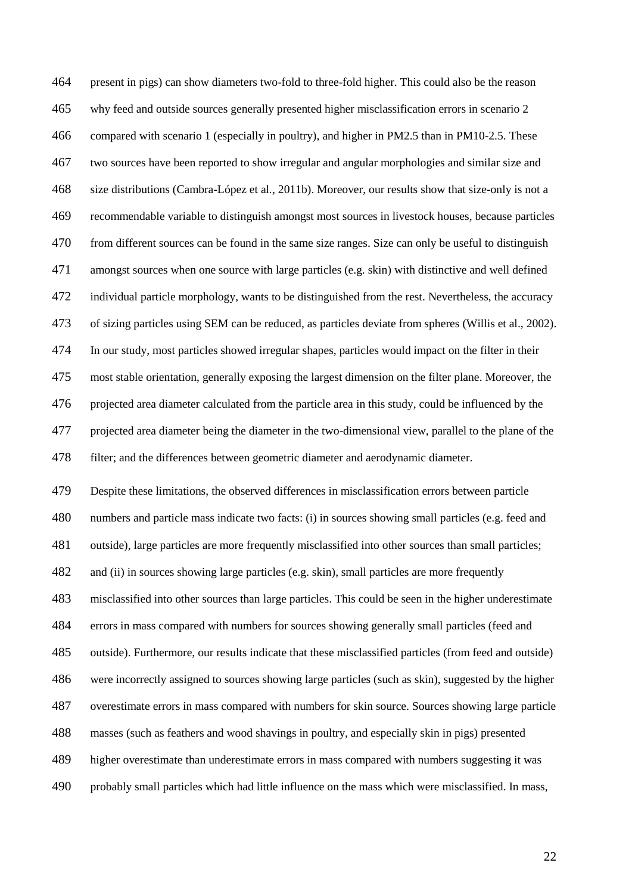present in pigs) can show diameters two-fold to three-fold higher. This could also be the reason why feed and outside sources generally presented higher misclassification errors in scenario 2 compared with scenario 1 (especially in poultry), and higher in PM2.5 than in PM10-2.5. These two sources have been reported to show irregular and angular morphologies and similar size and size distributions (Cambra-López et al*.*, 2011b). Moreover, our results show that size-only is not a recommendable variable to distinguish amongst most sources in livestock houses, because particles from different sources can be found in the same size ranges. Size can only be useful to distinguish amongst sources when one source with large particles (e.g. skin) with distinctive and well defined individual particle morphology, wants to be distinguished from the rest. Nevertheless, the accuracy of sizing particles using SEM can be reduced, as particles deviate from spheres (Willis et al., 2002). In our study, most particles showed irregular shapes, particles would impact on the filter in their most stable orientation, generally exposing the largest dimension on the filter plane. Moreover, the projected area diameter calculated from the particle area in this study, could be influenced by the projected area diameter being the diameter in the two-dimensional view, parallel to the plane of the filter; and the differences between geometric diameter and aerodynamic diameter. Despite these limitations, the observed differences in misclassification errors between particle numbers and particle mass indicate two facts: (i) in sources showing small particles (e.g. feed and 481 outside), large particles are more frequently misclassified into other sources than small particles; and (ii) in sources showing large particles (e.g. skin), small particles are more frequently misclassified into other sources than large particles. This could be seen in the higher underestimate errors in mass compared with numbers for sources showing generally small particles (feed and outside). Furthermore, our results indicate that these misclassified particles (from feed and outside) were incorrectly assigned to sources showing large particles (such as skin), suggested by the higher

overestimate errors in mass compared with numbers for skin source. Sources showing large particle

- masses (such as feathers and wood shavings in poultry, and especially skin in pigs) presented
- higher overestimate than underestimate errors in mass compared with numbers suggesting it was
- probably small particles which had little influence on the mass which were misclassified. In mass,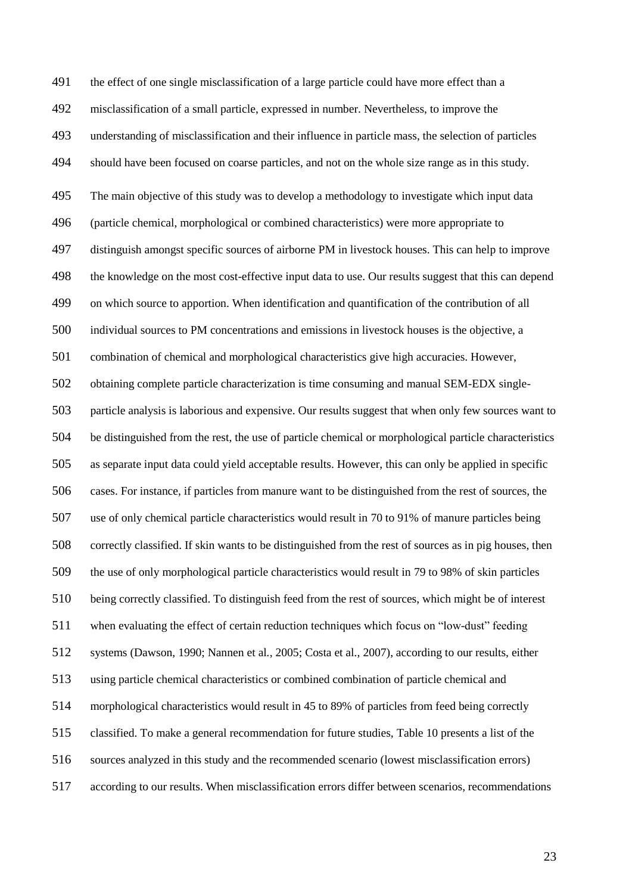the effect of one single misclassification of a large particle could have more effect than a misclassification of a small particle, expressed in number. Nevertheless, to improve the understanding of misclassification and their influence in particle mass, the selection of particles should have been focused on coarse particles, and not on the whole size range as in this study. The main objective of this study was to develop a methodology to investigate which input data (particle chemical, morphological or combined characteristics) were more appropriate to distinguish amongst specific sources of airborne PM in livestock houses. This can help to improve the knowledge on the most cost-effective input data to use. Our results suggest that this can depend on which source to apportion. When identification and quantification of the contribution of all individual sources to PM concentrations and emissions in livestock houses is the objective, a combination of chemical and morphological characteristics give high accuracies. However, obtaining complete particle characterization is time consuming and manual SEM-EDX single- particle analysis is laborious and expensive. Our results suggest that when only few sources want to be distinguished from the rest, the use of particle chemical or morphological particle characteristics as separate input data could yield acceptable results. However, this can only be applied in specific cases. For instance, if particles from manure want to be distinguished from the rest of sources, the use of only chemical particle characteristics would result in 70 to 91% of manure particles being correctly classified. If skin wants to be distinguished from the rest of sources as in pig houses, then the use of only morphological particle characteristics would result in 79 to 98% of skin particles being correctly classified. To distinguish feed from the rest of sources, which might be of interest when evaluating the effect of certain reduction techniques which focus on "low-dust" feeding systems (Dawson, 1990; Nannen et al*.*, 2005; Costa et al*.*, 2007), according to our results, either using particle chemical characteristics or combined combination of particle chemical and morphological characteristics would result in 45 to 89% of particles from feed being correctly classified. To make a general recommendation for future studies, Table 10 presents a list of the sources analyzed in this study and the recommended scenario (lowest misclassification errors) according to our results. When misclassification errors differ between scenarios, recommendations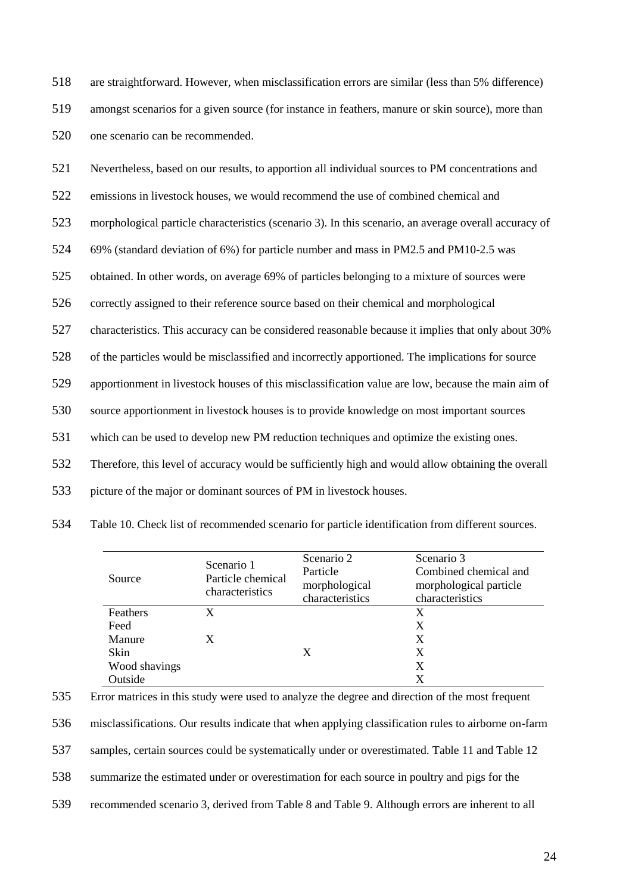518 are straightforward. However, when misclassification errors are similar (less than 5% difference) 519 amongst scenarios for a given source (for instance in feathers, manure or skin source), more than 520 one scenario can be recommended.

- 521 Nevertheless, based on our results, to apportion all individual sources to PM concentrations and
- 522 emissions in livestock houses, we would recommend the use of combined chemical and
- 523 morphological particle characteristics (scenario 3). In this scenario, an average overall accuracy of
- 524 69% (standard deviation of 6%) for particle number and mass in PM2.5 and PM10-2.5 was
- 525 obtained. In other words, on average 69% of particles belonging to a mixture of sources were
- 526 correctly assigned to their reference source based on their chemical and morphological
- 527 characteristics. This accuracy can be considered reasonable because it implies that only about 30%
- 528 of the particles would be misclassified and incorrectly apportioned. The implications for source
- 529 apportionment in livestock houses of this misclassification value are low, because the main aim of

530 source apportionment in livestock houses is to provide knowledge on most important sources

- 531 which can be used to develop new PM reduction techniques and optimize the existing ones.
- 532 Therefore, this level of accuracy would be sufficiently high and would allow obtaining the overall
- 533 picture of the major or dominant sources of PM in livestock houses.

| 534 |  | Table 10. Check list of recommended scenario for particle identification from different sources. |  |  |  |  |  |  |  |
|-----|--|--------------------------------------------------------------------------------------------------|--|--|--|--|--|--|--|
|-----|--|--------------------------------------------------------------------------------------------------|--|--|--|--|--|--|--|

| Source        | Scenario 1<br>Particle chemical<br>characteristics | Scenario 2<br>Particle<br>morphological<br>characteristics | Scenario 3<br>Combined chemical and<br>morphological particle<br>characteristics |
|---------------|----------------------------------------------------|------------------------------------------------------------|----------------------------------------------------------------------------------|
| Feathers      | X                                                  |                                                            | Х                                                                                |
| Feed          |                                                    |                                                            | X                                                                                |
| Manure        | X                                                  |                                                            | X                                                                                |
| <b>Skin</b>   |                                                    | X                                                          | X                                                                                |
| Wood shavings |                                                    |                                                            | X                                                                                |
| Outside       |                                                    |                                                            | X                                                                                |

 Error matrices in this study were used to analyze the degree and direction of the most frequent misclassifications. Our results indicate that when applying classification rules to airborne on-farm samples, certain sources could be systematically under or overestimated. Table 11 and Table 12 summarize the estimated under or overestimation for each source in poultry and pigs for the recommended scenario 3, derived from Table 8 and Table 9. Although errors are inherent to all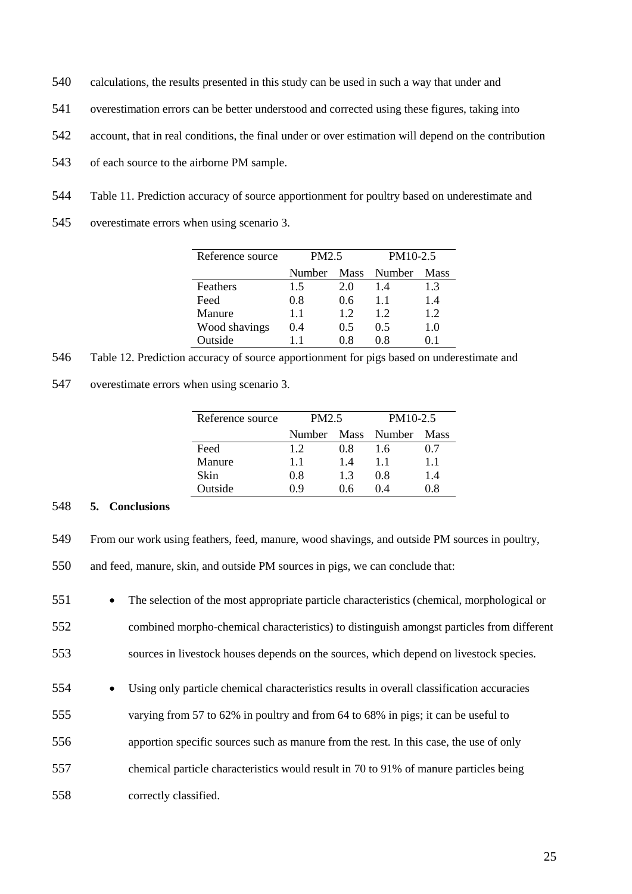- calculations, the results presented in this study can be used in such a way that under and
- overestimation errors can be better understood and corrected using these figures, taking into
- account, that in real conditions, the final under or over estimation will depend on the contribution
- of each source to the airborne PM sample.
- Table 11. Prediction accuracy of source apportionment for poultry based on underestimate and
- overestimate errors when using scenario 3.

| Reference source | PM2.5  |             | PM10-2.5 |      |
|------------------|--------|-------------|----------|------|
|                  | Number | <b>Mass</b> | Number   | Mass |
| Feathers         | 1.5    | 20          | 14       | 1.3  |
| Feed             | 0.8    | 0.6         | 11       | 1.4  |
| Manure           | 1.1    | 1.2         | 1.2      | 1.2  |
| Wood shavings    | 0.4    | 05          | 0.5      | 1.0  |
| Outside          | 11     |             | 0 8      |      |

- Table 12. Prediction accuracy of source apportionment for pigs based on underestimate and
- overestimate errors when using scenario 3.

| Reference source | PM <sub>2.5</sub> |     | PM10-2.5    |      |
|------------------|-------------------|-----|-------------|------|
|                  | Number            |     | Mass Number | Mass |
| Feed             | 12                | 08  | 16          | 0.7  |
| Manure           | 11                | 14  | $1\;1$      | 11   |
| Skin             | 0.8               | 13  | 08          | 1.4  |
| Outside          | በ ዓ               | 0 6 | 04          | 08   |

# **5. Conclusions**

- From our work using feathers, feed, manure, wood shavings, and outside PM sources in poultry,
- and feed, manure, skin, and outside PM sources in pigs, we can conclude that:

| 551 | $\bullet$ | The selection of the most appropriate particle characteristics (chemical, morphological or |
|-----|-----------|--------------------------------------------------------------------------------------------|
| 552 |           | combined morpho-chemical characteristics) to distinguish amongst particles from different  |
| 553 |           | sources in livestock houses depends on the sources, which depend on livestock species.     |
| 554 |           | Using only particle chemical characteristics results in overall classification accuracies  |
| 555 |           | varying from 57 to 62% in poultry and from 64 to 68% in pigs; it can be useful to          |
| 556 |           | apportion specific sources such as manure from the rest. In this case, the use of only     |
| 557 |           | chemical particle characteristics would result in 70 to 91% of manure particles being      |
| 558 |           | correctly classified.                                                                      |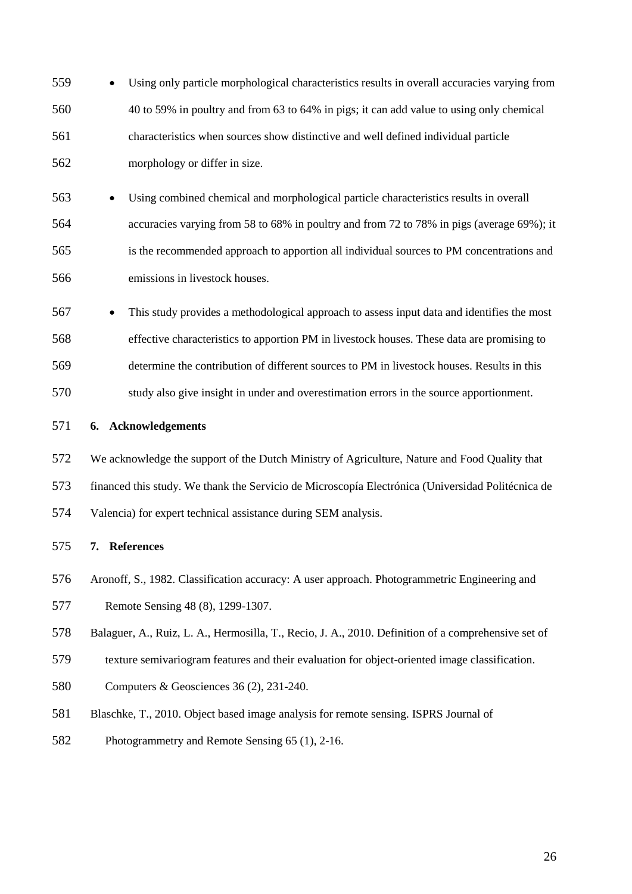Using only particle morphological characteristics results in overall accuracies varying from 40 to 59% in poultry and from 63 to 64% in pigs; it can add value to using only chemical characteristics when sources show distinctive and well defined individual particle morphology or differ in size. Using combined chemical and morphological particle characteristics results in overall accuracies varying from 58 to 68% in poultry and from 72 to 78% in pigs (average 69%); it

is the recommended approach to apportion all individual sources to PM concentrations and

- emissions in livestock houses.
- 567 This study provides a methodological approach to assess input data and identifies the most effective characteristics to apportion PM in livestock houses. These data are promising to determine the contribution of different sources to PM in livestock houses. Results in this study also give insight in under and overestimation errors in the source apportionment.
- **6. Acknowledgements**
- We acknowledge the support of the Dutch Ministry of Agriculture, Nature and Food Quality that financed this study. We thank the Servicio de Microscopía Electrónica (Universidad Politécnica de Valencia) for expert technical assistance during SEM analysis.
- **7. References**
- Aronoff, S., 1982. Classification accuracy: A user approach. Photogrammetric Engineering and Remote Sensing 48 (8), 1299-1307.
- Balaguer, A., Ruiz, L. A., Hermosilla, T., Recio, J. A., 2010. Definition of a comprehensive set of
- texture semivariogram features and their evaluation for object-oriented image classification.
- Computers & Geosciences 36 (2), 231-240.
- Blaschke, T., 2010. Object based image analysis for remote sensing. ISPRS Journal of
- Photogrammetry and Remote Sensing 65 (1), 2-16.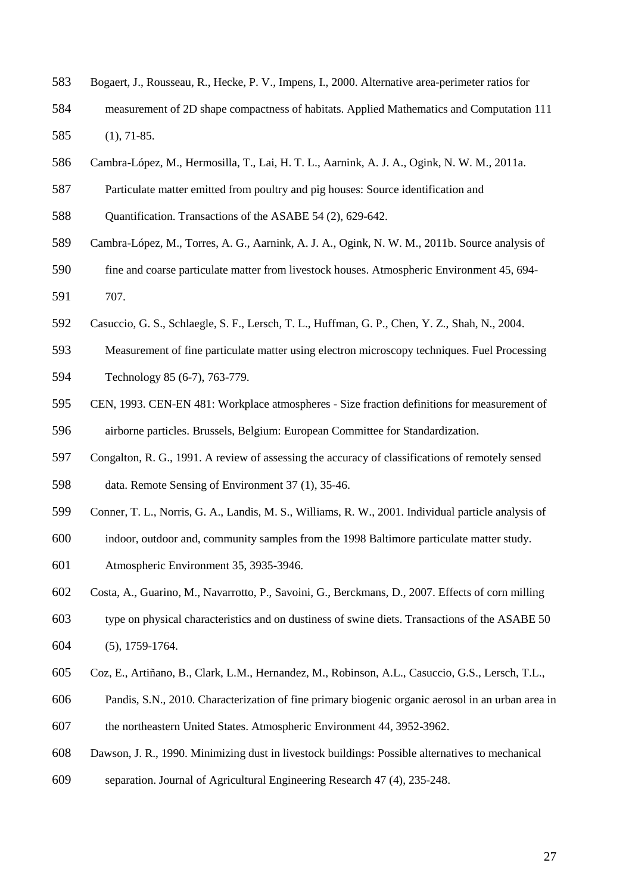- Bogaert, J., Rousseau, R., Hecke, P. V., Impens, I., 2000. Alternative area-perimeter ratios for
- measurement of 2D shape compactness of habitats. Applied Mathematics and Computation 111 (1), 71-85.
- Cambra-López, M., Hermosilla, T., Lai, H. T. L., Aarnink, A. J. A., Ogink, N. W. M., 2011a.
- Particulate matter emitted from poultry and pig houses: Source identification and
- Quantification. Transactions of the ASABE 54 (2), 629-642.
- Cambra-López, M., Torres, A. G., Aarnink, A. J. A., Ogink, N. W. M., 2011b. Source analysis of
- fine and coarse particulate matter from livestock houses. Atmospheric Environment 45, 694- 707.
- Casuccio, G. S., Schlaegle, S. F., Lersch, T. L., Huffman, G. P., Chen, Y. Z., Shah, N., 2004.
- Measurement of fine particulate matter using electron microscopy techniques. Fuel Processing
- Technology 85 (6-7), 763-779.
- CEN, 1993. CEN-EN 481: Workplace atmospheres Size fraction definitions for measurement of
- airborne particles. Brussels, Belgium: European Committee for Standardization.
- Congalton, R. G., 1991. A review of assessing the accuracy of classifications of remotely sensed
- data. Remote Sensing of Environment 37 (1), 35-46.
- Conner, T. L., Norris, G. A., Landis, M. S., Williams, R. W., 2001. Individual particle analysis of
- indoor, outdoor and, community samples from the 1998 Baltimore particulate matter study.
- Atmospheric Environment 35, 3935-3946.
- Costa, A., Guarino, M., Navarrotto, P., Savoini, G., Berckmans, D., 2007. Effects of corn milling
- type on physical characteristics and on dustiness of swine diets. Transactions of the ASABE 50 (5), 1759-1764.
- Coz, E., Artiñano, B., Clark, L.M., Hernandez, M., Robinson, A.L., Casuccio, G.S., Lersch, T.L.,
- Pandis, S.N., 2010. Characterization of fine primary biogenic organic aerosol in an urban area in
- the northeastern United States. Atmospheric Environment 44, 3952-3962.
- Dawson, J. R., 1990. Minimizing dust in livestock buildings: Possible alternatives to mechanical
- separation. Journal of Agricultural Engineering Research 47 (4), 235-248.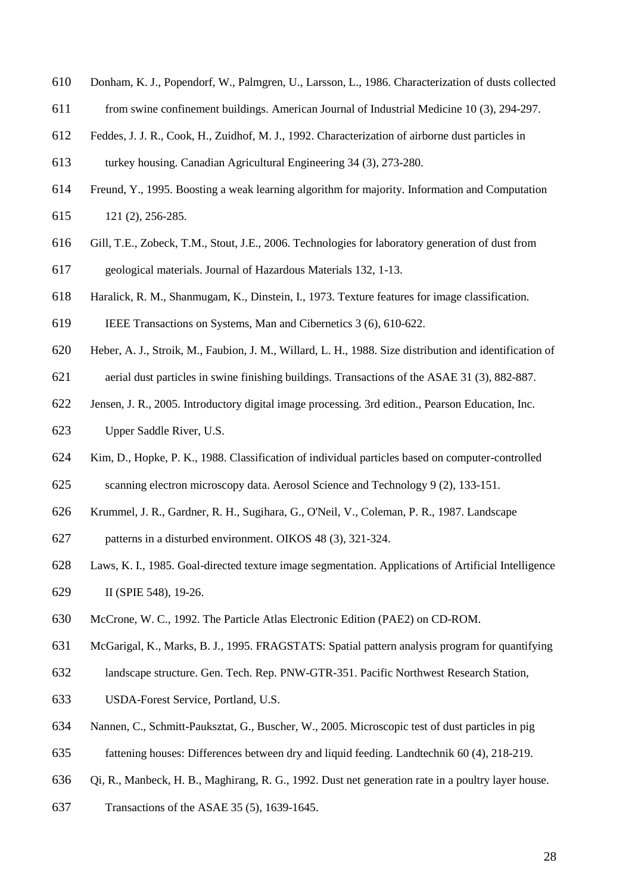- Donham, K. J., Popendorf, W., Palmgren, U., Larsson, L., 1986. Characterization of dusts collected
- from swine confinement buildings. American Journal of Industrial Medicine 10 (3), 294-297.
- Feddes, J. J. R., Cook, H., Zuidhof, M. J., 1992. Characterization of airborne dust particles in
- turkey housing. Canadian Agricultural Engineering 34 (3), 273-280.
- Freund, Y., 1995. Boosting a weak learning algorithm for majority. Information and Computation
- 121 (2), 256-285.
- Gill, T.E., Zobeck, T.M., Stout, J.E., 2006. Technologies for laboratory generation of dust from
- geological materials. Journal of Hazardous Materials 132, 1-13.
- Haralick, R. M., Shanmugam, K., Dinstein, I., 1973. Texture features for image classification.
- IEEE Transactions on Systems, Man and Cibernetics 3 (6), 610-622.
- Heber, A. J., Stroik, M., Faubion, J. M., Willard, L. H., 1988. Size distribution and identification of
- aerial dust particles in swine finishing buildings. Transactions of the ASAE 31 (3), 882-887.
- Jensen, J. R., 2005. Introductory digital image processing. 3rd edition., Pearson Education, Inc.
- Upper Saddle River, U.S.
- Kim, D., Hopke, P. K., 1988. Classification of individual particles based on computer-controlled
- scanning electron microscopy data. Aerosol Science and Technology 9 (2), 133-151.
- Krummel, J. R., Gardner, R. H., Sugihara, G., O'Neil, V., Coleman, P. R., 1987. Landscape
- patterns in a disturbed environment. OIKOS 48 (3), 321-324.
- Laws, K. I., 1985. Goal-directed texture image segmentation. Applications of Artificial Intelligence II (SPIE 548), 19-26.
- McCrone, W. C., 1992. The Particle Atlas Electronic Edition (PAE2) on CD-ROM.
- McGarigal, K., Marks, B. J., 1995. FRAGSTATS: Spatial pattern analysis program for quantifying
- landscape structure. Gen. Tech. Rep. PNW-GTR-351. Pacific Northwest Research Station,
- USDA-Forest Service, Portland, U.S.
- Nannen, C., Schmitt-Pauksztat, G., Buscher, W., 2005. Microscopic test of dust particles in pig
- fattening houses: Differences between dry and liquid feeding. Landtechnik 60 (4), 218-219.
- Qi, R., Manbeck, H. B., Maghirang, R. G., 1992. Dust net generation rate in a poultry layer house.
- Transactions of the ASAE 35 (5), 1639-1645.